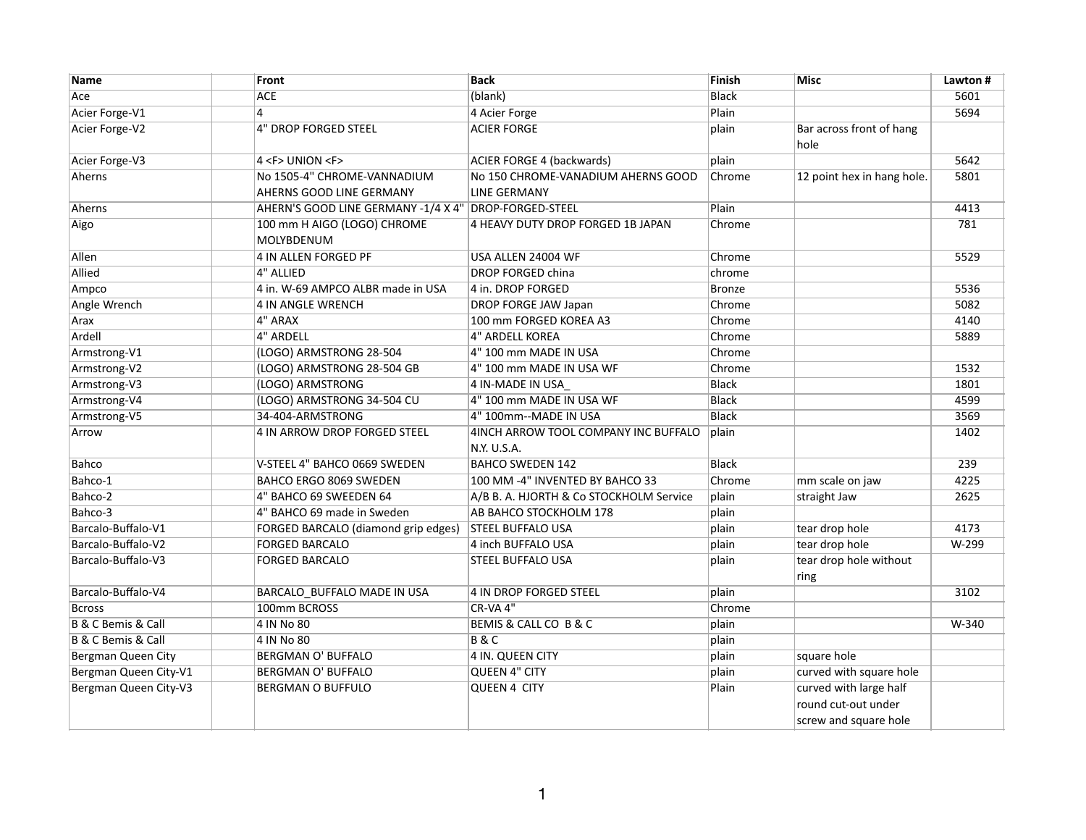| Name                              | Front                                                 | <b>Back</b>                                         | Finish        | <b>Misc</b>                      | Lawton # |
|-----------------------------------|-------------------------------------------------------|-----------------------------------------------------|---------------|----------------------------------|----------|
| Ace                               | <b>ACE</b>                                            | (blank)                                             | <b>Black</b>  |                                  | 5601     |
| Acier Forge-V1                    | 4                                                     | 4 Acier Forge                                       | Plain         |                                  | 5694     |
| Acier Forge-V2                    | <b>4" DROP FORGED STEEL</b>                           | <b>ACIER FORGE</b>                                  | plain         | Bar across front of hang<br>hole |          |
| Acier Forge-V3                    | 4 <f> UNION <f></f></f>                               | <b>ACIER FORGE 4 (backwards)</b>                    | plain         |                                  | 5642     |
| Aherns                            | No 1505-4" CHROME-VANNADIUM                           | No 150 CHROME-VANADIUM AHERNS GOOD                  | Chrome        | 12 point hex in hang hole.       | 5801     |
|                                   | AHERNS GOOD LINE GERMANY                              | <b>LINE GERMANY</b>                                 |               |                                  |          |
| Aherns                            | AHERN'S GOOD LINE GERMANY -1/4 X 4" DROP-FORGED-STEEL |                                                     | Plain         |                                  | 4413     |
| Aigo                              | 100 mm H AIGO (LOGO) CHROME<br>MOLYBDENUM             | 4 HEAVY DUTY DROP FORGED 1B JAPAN                   | Chrome        |                                  | 781      |
| Allen                             | 4 IN ALLEN FORGED PF                                  | USA ALLEN 24004 WF                                  | Chrome        |                                  | 5529     |
| Allied                            | 4" ALLIED                                             | <b>DROP FORGED china</b>                            | chrome        |                                  |          |
| Ampco                             | 4 in. W-69 AMPCO ALBR made in USA                     | 4 in. DROP FORGED                                   | <b>Bronze</b> |                                  | 5536     |
| Angle Wrench                      | 4 IN ANGLE WRENCH                                     | DROP FORGE JAW Japan                                | Chrome        |                                  | 5082     |
| Arax                              | 4" ARAX                                               | 100 mm FORGED KOREA A3                              | Chrome        |                                  | 4140     |
| Ardell                            | 4" ARDELL                                             | <b>4" ARDELL KOREA</b>                              | Chrome        |                                  | 5889     |
| Armstrong-V1                      | (LOGO) ARMSTRONG 28-504                               | 4" 100 mm MADE IN USA                               | Chrome        |                                  |          |
| Armstrong-V2                      | (LOGO) ARMSTRONG 28-504 GB                            | 4" 100 mm MADE IN USA WF                            | Chrome        |                                  | 1532     |
| Armstrong-V3                      | (LOGO) ARMSTRONG                                      | 4 IN-MADE IN USA                                    | <b>Black</b>  |                                  | 1801     |
| Armstrong-V4                      | (LOGO) ARMSTRONG 34-504 CU                            | 4" 100 mm MADE IN USA WF                            | <b>Black</b>  |                                  | 4599     |
| Armstrong-V5                      | 34-404-ARMSTRONG                                      | 4" 100mm--MADE IN USA                               | <b>Black</b>  |                                  | 3569     |
| Arrow                             | 4 IN ARROW DROP FORGED STEEL                          | 4INCH ARROW TOOL COMPANY INC BUFFALO<br>N.Y. U.S.A. | plain         |                                  | 1402     |
| Bahco                             | V-STEEL 4" BAHCO 0669 SWEDEN                          | <b>BAHCO SWEDEN 142</b>                             | <b>Black</b>  |                                  | 239      |
| Bahco-1                           | BAHCO ERGO 8069 SWEDEN                                | 100 MM -4" INVENTED BY BAHCO 33                     | Chrome        | mm scale on jaw                  | 4225     |
| Bahco-2                           | 4" BAHCO 69 SWEEDEN 64                                | A/B B. A. HJORTH & Co STOCKHOLM Service             | plain         | straight Jaw                     | 2625     |
| Bahco-3                           | 4" BAHCO 69 made in Sweden                            | AB BAHCO STOCKHOLM 178                              | plain         |                                  |          |
| Barcalo-Buffalo-V1                | FORGED BARCALO (diamond grip edges)                   | <b>STEEL BUFFALO USA</b>                            | plain         | tear drop hole                   | 4173     |
| Barcalo-Buffalo-V2                | <b>FORGED BARCALO</b>                                 | 4 inch BUFFALO USA                                  | plain         | tear drop hole                   | W-299    |
| Barcalo-Buffalo-V3                | <b>FORGED BARCALO</b>                                 | STEEL BUFFALO USA                                   | plain         | tear drop hole without<br>ring   |          |
| Barcalo-Buffalo-V4                | BARCALO_BUFFALO MADE IN USA                           | 4 IN DROP FORGED STEEL                              | plain         |                                  | 3102     |
| <b>Bcross</b>                     | 100mm BCROSS                                          | CR-VA 4"                                            | Chrome        |                                  |          |
| <b>B &amp; C Bemis &amp; Call</b> | 4 IN No 80                                            | BEMIS & CALL CO B & C                               | plain         |                                  | W-340    |
| <b>B &amp; C Bemis &amp; Call</b> | 4 IN No 80                                            | <b>B&amp;C</b>                                      | plain         |                                  |          |
| Bergman Queen City                | <b>BERGMAN O' BUFFALO</b>                             | <b>4 IN. QUEEN CITY</b>                             | plain         | square hole                      |          |
| Bergman Queen City-V1             | <b>BERGMAN O' BUFFALO</b>                             | <b>QUEEN 4" CITY</b>                                | plain         | curved with square hole          |          |
| Bergman Queen City-V3             | <b>BERGMAN O BUFFULO</b>                              | <b>QUEEN 4 CITY</b>                                 | Plain         | curved with large half           |          |
|                                   |                                                       |                                                     |               | round cut-out under              |          |
|                                   |                                                       |                                                     |               | screw and square hole            |          |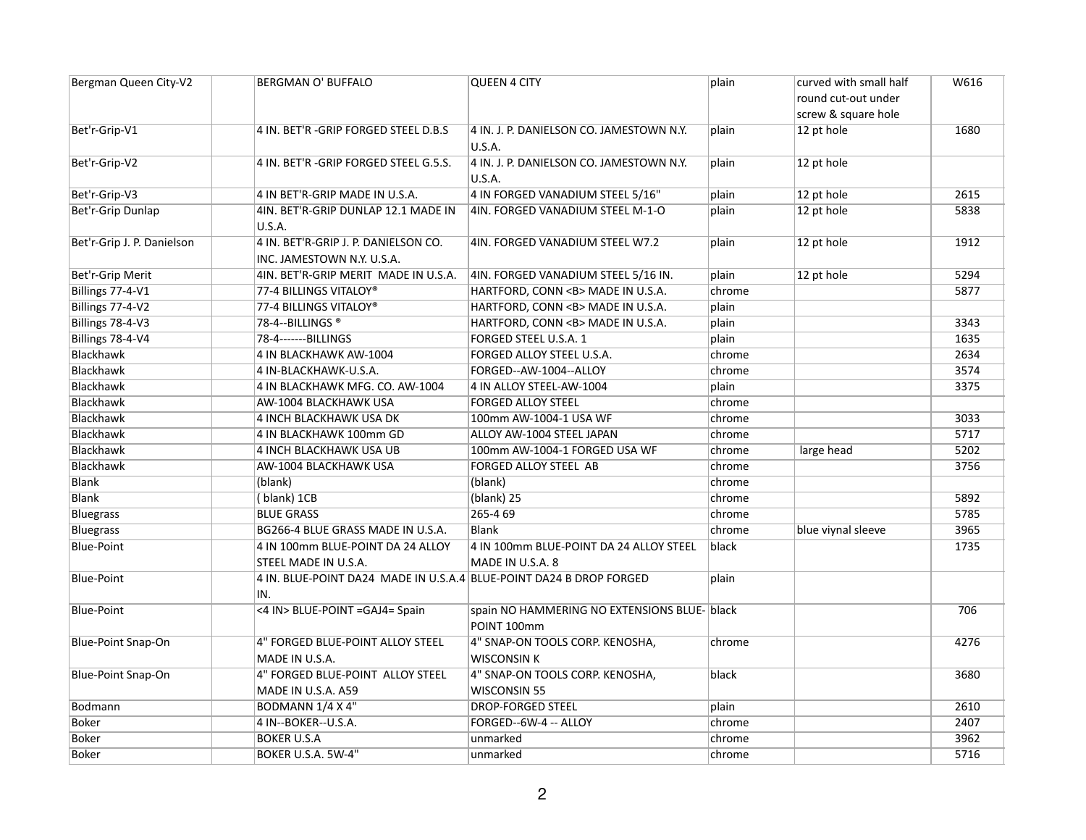| round cut-out under<br>screw & square hole<br>12 pt hole<br>1680<br>Bet'r-Grip-V1<br>4 IN. BET'R -GRIP FORGED STEEL D.B.S<br>4 IN. J. P. DANIELSON CO. JAMESTOWN N.Y.<br>plain<br>U.S.A.<br>Bet'r-Grip-V2<br>4 IN. BET'R -GRIP FORGED STEEL G.5.S.<br>4 IN. J. P. DANIELSON CO. JAMESTOWN N.Y.<br>12 pt hole<br>plain<br><b>U.S.A.</b><br>Bet'r-Grip-V3<br>4 IN BET'R-GRIP MADE IN U.S.A.<br>4 IN FORGED VANADIUM STEEL 5/16"<br>12 pt hole<br>2615<br>plain<br>4IN. FORGED VANADIUM STEEL M-1-O<br>12 pt hole<br>Bet'r-Grip Dunlap<br>4IN. BET'R-GRIP DUNLAP 12.1 MADE IN<br>plain<br>5838<br>U.S.A.<br>Bet'r-Grip J. P. Danielson<br>4 IN. BET'R-GRIP J. P. DANIELSON CO.<br>4IN. FORGED VANADIUM STEEL W7.2<br>12 pt hole<br>1912<br>plain<br>INC. JAMESTOWN N.Y. U.S.A.<br>Bet'r-Grip Merit<br>4IN. FORGED VANADIUM STEEL 5/16 IN.<br>5294<br>4IN. BET'R-GRIP MERIT MADE IN U.S.A.<br>plain<br>12 pt hole<br>5877<br>Billings 77-4-V1<br>77-4 BILLINGS VITALOY®<br>HARTFORD, CONN <b> MADE IN U.S.A.<br/>chrome<br/>Billings 77-4-V2<br/>77-4 BILLINGS VITALOY®<br/>HARTFORD, CONN <b> MADE IN U.S.A.<br/>plain<br/>Billings 78-4-V3<br/>78-4--BILLINGS<sup>®</sup><br/>HARTFORD, CONN <b> MADE IN U.S.A.<br/>plain<br/>3343<br/>Billings 78-4-V4<br/>78-4-------BILLINGS<br/>FORGED STEEL U.S.A. 1<br/>plain<br/>1635<br/>Blackhawk<br/>2634<br/>4 IN BLACKHAWK AW-1004<br/>FORGED ALLOY STEEL U.S.A.<br/>chrome<br/>Blackhawk<br/>3574<br/>4 IN-BLACKHAWK-U.S.A.<br/>FORGED--AW-1004--ALLOY<br/>chrome<br/>3375<br/>Blackhawk<br/>4 IN ALLOY STEEL-AW-1004<br/>4 IN BLACKHAWK MFG. CO. AW-1004<br/>plain<br/>Blackhawk<br/><b>FORGED ALLOY STEEL</b><br/>chrome<br/>AW-1004 BLACKHAWK USA<br/>Blackhawk<br/>4 INCH BLACKHAWK USA DK<br/>100mm AW-1004-1 USA WF<br/>3033<br/>chrome<br/>Blackhawk<br/>5717<br/>4 IN BLACKHAWK 100mm GD<br/>ALLOY AW-1004 STEEL JAPAN<br/>chrome<br/>Blackhawk<br/>4 INCH BLACKHAWK USA UB<br/>large head<br/>5202<br/>100mm AW-1004-1 FORGED USA WF<br/>chrome<br/>Blackhawk<br/>AW-1004 BLACKHAWK USA<br/>FORGED ALLOY STEEL AB<br/>3756<br/>chrome<br/><b>Blank</b><br/>(blank)<br/>(blank)<br/>chrome<br/>(blank) 25<br/>Blank<br/>(blank) 1CB<br/>5892<br/>chrome<br/>265-4 69<br/>5785<br/>Bluegrass<br/><b>BLUE GRASS</b><br/>chrome<br/>3965<br/><b>Bluegrass</b><br/>BG266-4 BLUE GRASS MADE IN U.S.A.<br/><b>Blank</b><br/>blue viynal sleeve<br/>chrome<br/>1735<br/><b>Blue-Point</b><br/>4 IN 100mm BLUE-POINT DA 24 ALLOY<br/>4 IN 100mm BLUE-POINT DA 24 ALLOY STEEL<br/>black<br/>STEEL MADE IN U.S.A.<br/>MADE IN U.S.A. 8<br/>4 IN. BLUE-POINT DA24 MADE IN U.S.A.4 BLUE-POINT DA24 B DROP FORGED<br/>plain<br/><b>Blue-Point</b><br/>IN.<br/><b>Blue-Point</b><br/>&lt;4 IN&gt; BLUE-POINT =GAJ4= Spain<br/>706<br/>spain NO HAMMERING NO EXTENSIONS BLUE- black<br/>POINT 100mm<br/>4" FORGED BLUE-POINT ALLOY STEEL<br/>4" SNAP-ON TOOLS CORP. KENOSHA,<br/>4276<br/><b>Blue-Point Snap-On</b><br/>chrome<br/>MADE IN U.S.A.<br/><b>WISCONSIN K</b><br/><b>Blue-Point Snap-On</b><br/>4" FORGED BLUE-POINT ALLOY STEEL<br/>4" SNAP-ON TOOLS CORP. KENOSHA,<br/>3680<br/>black<br/>MADE IN U.S.A. A59<br/><b>WISCONSIN 55</b><br/>BODMANN 1/4 X 4"<br/><b>DROP-FORGED STEEL</b><br/><b>Bodmann</b><br/>plain<br/>2610<br/>2407<br/>Boker<br/>4 IN--BOKER--U.S.A.<br/>FORGED--6W-4 -- ALLOY<br/>chrome<br/><b>Boker</b><br/><b>BOKER U.S.A</b><br/>unmarked<br/>3962<br/>chrome</b></b></b> | Bergman Queen City-V2 | <b>BERGMAN O' BUFFALO</b> | <b>QUEEN 4 CITY</b> | plain  | curved with small half | W616 |
|----------------------------------------------------------------------------------------------------------------------------------------------------------------------------------------------------------------------------------------------------------------------------------------------------------------------------------------------------------------------------------------------------------------------------------------------------------------------------------------------------------------------------------------------------------------------------------------------------------------------------------------------------------------------------------------------------------------------------------------------------------------------------------------------------------------------------------------------------------------------------------------------------------------------------------------------------------------------------------------------------------------------------------------------------------------------------------------------------------------------------------------------------------------------------------------------------------------------------------------------------------------------------------------------------------------------------------------------------------------------------------------------------------------------------------------------------------------------------------------------------------------------------------------------------------------------------------------------------------------------------------------------------------------------------------------------------------------------------------------------------------------------------------------------------------------------------------------------------------------------------------------------------------------------------------------------------------------------------------------------------------------------------------------------------------------------------------------------------------------------------------------------------------------------------------------------------------------------------------------------------------------------------------------------------------------------------------------------------------------------------------------------------------------------------------------------------------------------------------------------------------------------------------------------------------------------------------------------------------------------------------------------------------------------------------------------------------------------------------------------------------------------------------------------------------------------------------------------------------------------------------------------------------------------------------------------------------------------------------------------------------------------------------------------------------------------------------------------------------------------------------------------------------------------------------------------------------------------------------------------------------------------------------------------------------------------------------------------------------------------------------------------------------------------------------------------------|-----------------------|---------------------------|---------------------|--------|------------------------|------|
|                                                                                                                                                                                                                                                                                                                                                                                                                                                                                                                                                                                                                                                                                                                                                                                                                                                                                                                                                                                                                                                                                                                                                                                                                                                                                                                                                                                                                                                                                                                                                                                                                                                                                                                                                                                                                                                                                                                                                                                                                                                                                                                                                                                                                                                                                                                                                                                                                                                                                                                                                                                                                                                                                                                                                                                                                                                                                                                                                                                                                                                                                                                                                                                                                                                                                                                                                                                                                                                    |                       |                           |                     |        |                        |      |
|                                                                                                                                                                                                                                                                                                                                                                                                                                                                                                                                                                                                                                                                                                                                                                                                                                                                                                                                                                                                                                                                                                                                                                                                                                                                                                                                                                                                                                                                                                                                                                                                                                                                                                                                                                                                                                                                                                                                                                                                                                                                                                                                                                                                                                                                                                                                                                                                                                                                                                                                                                                                                                                                                                                                                                                                                                                                                                                                                                                                                                                                                                                                                                                                                                                                                                                                                                                                                                                    |                       |                           |                     |        |                        |      |
|                                                                                                                                                                                                                                                                                                                                                                                                                                                                                                                                                                                                                                                                                                                                                                                                                                                                                                                                                                                                                                                                                                                                                                                                                                                                                                                                                                                                                                                                                                                                                                                                                                                                                                                                                                                                                                                                                                                                                                                                                                                                                                                                                                                                                                                                                                                                                                                                                                                                                                                                                                                                                                                                                                                                                                                                                                                                                                                                                                                                                                                                                                                                                                                                                                                                                                                                                                                                                                                    |                       |                           |                     |        |                        |      |
|                                                                                                                                                                                                                                                                                                                                                                                                                                                                                                                                                                                                                                                                                                                                                                                                                                                                                                                                                                                                                                                                                                                                                                                                                                                                                                                                                                                                                                                                                                                                                                                                                                                                                                                                                                                                                                                                                                                                                                                                                                                                                                                                                                                                                                                                                                                                                                                                                                                                                                                                                                                                                                                                                                                                                                                                                                                                                                                                                                                                                                                                                                                                                                                                                                                                                                                                                                                                                                                    |                       |                           |                     |        |                        |      |
|                                                                                                                                                                                                                                                                                                                                                                                                                                                                                                                                                                                                                                                                                                                                                                                                                                                                                                                                                                                                                                                                                                                                                                                                                                                                                                                                                                                                                                                                                                                                                                                                                                                                                                                                                                                                                                                                                                                                                                                                                                                                                                                                                                                                                                                                                                                                                                                                                                                                                                                                                                                                                                                                                                                                                                                                                                                                                                                                                                                                                                                                                                                                                                                                                                                                                                                                                                                                                                                    |                       |                           |                     |        |                        |      |
|                                                                                                                                                                                                                                                                                                                                                                                                                                                                                                                                                                                                                                                                                                                                                                                                                                                                                                                                                                                                                                                                                                                                                                                                                                                                                                                                                                                                                                                                                                                                                                                                                                                                                                                                                                                                                                                                                                                                                                                                                                                                                                                                                                                                                                                                                                                                                                                                                                                                                                                                                                                                                                                                                                                                                                                                                                                                                                                                                                                                                                                                                                                                                                                                                                                                                                                                                                                                                                                    |                       |                           |                     |        |                        |      |
|                                                                                                                                                                                                                                                                                                                                                                                                                                                                                                                                                                                                                                                                                                                                                                                                                                                                                                                                                                                                                                                                                                                                                                                                                                                                                                                                                                                                                                                                                                                                                                                                                                                                                                                                                                                                                                                                                                                                                                                                                                                                                                                                                                                                                                                                                                                                                                                                                                                                                                                                                                                                                                                                                                                                                                                                                                                                                                                                                                                                                                                                                                                                                                                                                                                                                                                                                                                                                                                    |                       |                           |                     |        |                        |      |
|                                                                                                                                                                                                                                                                                                                                                                                                                                                                                                                                                                                                                                                                                                                                                                                                                                                                                                                                                                                                                                                                                                                                                                                                                                                                                                                                                                                                                                                                                                                                                                                                                                                                                                                                                                                                                                                                                                                                                                                                                                                                                                                                                                                                                                                                                                                                                                                                                                                                                                                                                                                                                                                                                                                                                                                                                                                                                                                                                                                                                                                                                                                                                                                                                                                                                                                                                                                                                                                    |                       |                           |                     |        |                        |      |
|                                                                                                                                                                                                                                                                                                                                                                                                                                                                                                                                                                                                                                                                                                                                                                                                                                                                                                                                                                                                                                                                                                                                                                                                                                                                                                                                                                                                                                                                                                                                                                                                                                                                                                                                                                                                                                                                                                                                                                                                                                                                                                                                                                                                                                                                                                                                                                                                                                                                                                                                                                                                                                                                                                                                                                                                                                                                                                                                                                                                                                                                                                                                                                                                                                                                                                                                                                                                                                                    |                       |                           |                     |        |                        |      |
|                                                                                                                                                                                                                                                                                                                                                                                                                                                                                                                                                                                                                                                                                                                                                                                                                                                                                                                                                                                                                                                                                                                                                                                                                                                                                                                                                                                                                                                                                                                                                                                                                                                                                                                                                                                                                                                                                                                                                                                                                                                                                                                                                                                                                                                                                                                                                                                                                                                                                                                                                                                                                                                                                                                                                                                                                                                                                                                                                                                                                                                                                                                                                                                                                                                                                                                                                                                                                                                    |                       |                           |                     |        |                        |      |
|                                                                                                                                                                                                                                                                                                                                                                                                                                                                                                                                                                                                                                                                                                                                                                                                                                                                                                                                                                                                                                                                                                                                                                                                                                                                                                                                                                                                                                                                                                                                                                                                                                                                                                                                                                                                                                                                                                                                                                                                                                                                                                                                                                                                                                                                                                                                                                                                                                                                                                                                                                                                                                                                                                                                                                                                                                                                                                                                                                                                                                                                                                                                                                                                                                                                                                                                                                                                                                                    |                       |                           |                     |        |                        |      |
|                                                                                                                                                                                                                                                                                                                                                                                                                                                                                                                                                                                                                                                                                                                                                                                                                                                                                                                                                                                                                                                                                                                                                                                                                                                                                                                                                                                                                                                                                                                                                                                                                                                                                                                                                                                                                                                                                                                                                                                                                                                                                                                                                                                                                                                                                                                                                                                                                                                                                                                                                                                                                                                                                                                                                                                                                                                                                                                                                                                                                                                                                                                                                                                                                                                                                                                                                                                                                                                    |                       |                           |                     |        |                        |      |
|                                                                                                                                                                                                                                                                                                                                                                                                                                                                                                                                                                                                                                                                                                                                                                                                                                                                                                                                                                                                                                                                                                                                                                                                                                                                                                                                                                                                                                                                                                                                                                                                                                                                                                                                                                                                                                                                                                                                                                                                                                                                                                                                                                                                                                                                                                                                                                                                                                                                                                                                                                                                                                                                                                                                                                                                                                                                                                                                                                                                                                                                                                                                                                                                                                                                                                                                                                                                                                                    |                       |                           |                     |        |                        |      |
|                                                                                                                                                                                                                                                                                                                                                                                                                                                                                                                                                                                                                                                                                                                                                                                                                                                                                                                                                                                                                                                                                                                                                                                                                                                                                                                                                                                                                                                                                                                                                                                                                                                                                                                                                                                                                                                                                                                                                                                                                                                                                                                                                                                                                                                                                                                                                                                                                                                                                                                                                                                                                                                                                                                                                                                                                                                                                                                                                                                                                                                                                                                                                                                                                                                                                                                                                                                                                                                    |                       |                           |                     |        |                        |      |
|                                                                                                                                                                                                                                                                                                                                                                                                                                                                                                                                                                                                                                                                                                                                                                                                                                                                                                                                                                                                                                                                                                                                                                                                                                                                                                                                                                                                                                                                                                                                                                                                                                                                                                                                                                                                                                                                                                                                                                                                                                                                                                                                                                                                                                                                                                                                                                                                                                                                                                                                                                                                                                                                                                                                                                                                                                                                                                                                                                                                                                                                                                                                                                                                                                                                                                                                                                                                                                                    |                       |                           |                     |        |                        |      |
|                                                                                                                                                                                                                                                                                                                                                                                                                                                                                                                                                                                                                                                                                                                                                                                                                                                                                                                                                                                                                                                                                                                                                                                                                                                                                                                                                                                                                                                                                                                                                                                                                                                                                                                                                                                                                                                                                                                                                                                                                                                                                                                                                                                                                                                                                                                                                                                                                                                                                                                                                                                                                                                                                                                                                                                                                                                                                                                                                                                                                                                                                                                                                                                                                                                                                                                                                                                                                                                    |                       |                           |                     |        |                        |      |
|                                                                                                                                                                                                                                                                                                                                                                                                                                                                                                                                                                                                                                                                                                                                                                                                                                                                                                                                                                                                                                                                                                                                                                                                                                                                                                                                                                                                                                                                                                                                                                                                                                                                                                                                                                                                                                                                                                                                                                                                                                                                                                                                                                                                                                                                                                                                                                                                                                                                                                                                                                                                                                                                                                                                                                                                                                                                                                                                                                                                                                                                                                                                                                                                                                                                                                                                                                                                                                                    |                       |                           |                     |        |                        |      |
|                                                                                                                                                                                                                                                                                                                                                                                                                                                                                                                                                                                                                                                                                                                                                                                                                                                                                                                                                                                                                                                                                                                                                                                                                                                                                                                                                                                                                                                                                                                                                                                                                                                                                                                                                                                                                                                                                                                                                                                                                                                                                                                                                                                                                                                                                                                                                                                                                                                                                                                                                                                                                                                                                                                                                                                                                                                                                                                                                                                                                                                                                                                                                                                                                                                                                                                                                                                                                                                    |                       |                           |                     |        |                        |      |
|                                                                                                                                                                                                                                                                                                                                                                                                                                                                                                                                                                                                                                                                                                                                                                                                                                                                                                                                                                                                                                                                                                                                                                                                                                                                                                                                                                                                                                                                                                                                                                                                                                                                                                                                                                                                                                                                                                                                                                                                                                                                                                                                                                                                                                                                                                                                                                                                                                                                                                                                                                                                                                                                                                                                                                                                                                                                                                                                                                                                                                                                                                                                                                                                                                                                                                                                                                                                                                                    |                       |                           |                     |        |                        |      |
|                                                                                                                                                                                                                                                                                                                                                                                                                                                                                                                                                                                                                                                                                                                                                                                                                                                                                                                                                                                                                                                                                                                                                                                                                                                                                                                                                                                                                                                                                                                                                                                                                                                                                                                                                                                                                                                                                                                                                                                                                                                                                                                                                                                                                                                                                                                                                                                                                                                                                                                                                                                                                                                                                                                                                                                                                                                                                                                                                                                                                                                                                                                                                                                                                                                                                                                                                                                                                                                    |                       |                           |                     |        |                        |      |
|                                                                                                                                                                                                                                                                                                                                                                                                                                                                                                                                                                                                                                                                                                                                                                                                                                                                                                                                                                                                                                                                                                                                                                                                                                                                                                                                                                                                                                                                                                                                                                                                                                                                                                                                                                                                                                                                                                                                                                                                                                                                                                                                                                                                                                                                                                                                                                                                                                                                                                                                                                                                                                                                                                                                                                                                                                                                                                                                                                                                                                                                                                                                                                                                                                                                                                                                                                                                                                                    |                       |                           |                     |        |                        |      |
|                                                                                                                                                                                                                                                                                                                                                                                                                                                                                                                                                                                                                                                                                                                                                                                                                                                                                                                                                                                                                                                                                                                                                                                                                                                                                                                                                                                                                                                                                                                                                                                                                                                                                                                                                                                                                                                                                                                                                                                                                                                                                                                                                                                                                                                                                                                                                                                                                                                                                                                                                                                                                                                                                                                                                                                                                                                                                                                                                                                                                                                                                                                                                                                                                                                                                                                                                                                                                                                    |                       |                           |                     |        |                        |      |
|                                                                                                                                                                                                                                                                                                                                                                                                                                                                                                                                                                                                                                                                                                                                                                                                                                                                                                                                                                                                                                                                                                                                                                                                                                                                                                                                                                                                                                                                                                                                                                                                                                                                                                                                                                                                                                                                                                                                                                                                                                                                                                                                                                                                                                                                                                                                                                                                                                                                                                                                                                                                                                                                                                                                                                                                                                                                                                                                                                                                                                                                                                                                                                                                                                                                                                                                                                                                                                                    |                       |                           |                     |        |                        |      |
|                                                                                                                                                                                                                                                                                                                                                                                                                                                                                                                                                                                                                                                                                                                                                                                                                                                                                                                                                                                                                                                                                                                                                                                                                                                                                                                                                                                                                                                                                                                                                                                                                                                                                                                                                                                                                                                                                                                                                                                                                                                                                                                                                                                                                                                                                                                                                                                                                                                                                                                                                                                                                                                                                                                                                                                                                                                                                                                                                                                                                                                                                                                                                                                                                                                                                                                                                                                                                                                    |                       |                           |                     |        |                        |      |
|                                                                                                                                                                                                                                                                                                                                                                                                                                                                                                                                                                                                                                                                                                                                                                                                                                                                                                                                                                                                                                                                                                                                                                                                                                                                                                                                                                                                                                                                                                                                                                                                                                                                                                                                                                                                                                                                                                                                                                                                                                                                                                                                                                                                                                                                                                                                                                                                                                                                                                                                                                                                                                                                                                                                                                                                                                                                                                                                                                                                                                                                                                                                                                                                                                                                                                                                                                                                                                                    |                       |                           |                     |        |                        |      |
|                                                                                                                                                                                                                                                                                                                                                                                                                                                                                                                                                                                                                                                                                                                                                                                                                                                                                                                                                                                                                                                                                                                                                                                                                                                                                                                                                                                                                                                                                                                                                                                                                                                                                                                                                                                                                                                                                                                                                                                                                                                                                                                                                                                                                                                                                                                                                                                                                                                                                                                                                                                                                                                                                                                                                                                                                                                                                                                                                                                                                                                                                                                                                                                                                                                                                                                                                                                                                                                    |                       |                           |                     |        |                        |      |
|                                                                                                                                                                                                                                                                                                                                                                                                                                                                                                                                                                                                                                                                                                                                                                                                                                                                                                                                                                                                                                                                                                                                                                                                                                                                                                                                                                                                                                                                                                                                                                                                                                                                                                                                                                                                                                                                                                                                                                                                                                                                                                                                                                                                                                                                                                                                                                                                                                                                                                                                                                                                                                                                                                                                                                                                                                                                                                                                                                                                                                                                                                                                                                                                                                                                                                                                                                                                                                                    |                       |                           |                     |        |                        |      |
|                                                                                                                                                                                                                                                                                                                                                                                                                                                                                                                                                                                                                                                                                                                                                                                                                                                                                                                                                                                                                                                                                                                                                                                                                                                                                                                                                                                                                                                                                                                                                                                                                                                                                                                                                                                                                                                                                                                                                                                                                                                                                                                                                                                                                                                                                                                                                                                                                                                                                                                                                                                                                                                                                                                                                                                                                                                                                                                                                                                                                                                                                                                                                                                                                                                                                                                                                                                                                                                    |                       |                           |                     |        |                        |      |
|                                                                                                                                                                                                                                                                                                                                                                                                                                                                                                                                                                                                                                                                                                                                                                                                                                                                                                                                                                                                                                                                                                                                                                                                                                                                                                                                                                                                                                                                                                                                                                                                                                                                                                                                                                                                                                                                                                                                                                                                                                                                                                                                                                                                                                                                                                                                                                                                                                                                                                                                                                                                                                                                                                                                                                                                                                                                                                                                                                                                                                                                                                                                                                                                                                                                                                                                                                                                                                                    |                       |                           |                     |        |                        |      |
|                                                                                                                                                                                                                                                                                                                                                                                                                                                                                                                                                                                                                                                                                                                                                                                                                                                                                                                                                                                                                                                                                                                                                                                                                                                                                                                                                                                                                                                                                                                                                                                                                                                                                                                                                                                                                                                                                                                                                                                                                                                                                                                                                                                                                                                                                                                                                                                                                                                                                                                                                                                                                                                                                                                                                                                                                                                                                                                                                                                                                                                                                                                                                                                                                                                                                                                                                                                                                                                    |                       |                           |                     |        |                        |      |
|                                                                                                                                                                                                                                                                                                                                                                                                                                                                                                                                                                                                                                                                                                                                                                                                                                                                                                                                                                                                                                                                                                                                                                                                                                                                                                                                                                                                                                                                                                                                                                                                                                                                                                                                                                                                                                                                                                                                                                                                                                                                                                                                                                                                                                                                                                                                                                                                                                                                                                                                                                                                                                                                                                                                                                                                                                                                                                                                                                                                                                                                                                                                                                                                                                                                                                                                                                                                                                                    |                       |                           |                     |        |                        |      |
|                                                                                                                                                                                                                                                                                                                                                                                                                                                                                                                                                                                                                                                                                                                                                                                                                                                                                                                                                                                                                                                                                                                                                                                                                                                                                                                                                                                                                                                                                                                                                                                                                                                                                                                                                                                                                                                                                                                                                                                                                                                                                                                                                                                                                                                                                                                                                                                                                                                                                                                                                                                                                                                                                                                                                                                                                                                                                                                                                                                                                                                                                                                                                                                                                                                                                                                                                                                                                                                    |                       |                           |                     |        |                        |      |
|                                                                                                                                                                                                                                                                                                                                                                                                                                                                                                                                                                                                                                                                                                                                                                                                                                                                                                                                                                                                                                                                                                                                                                                                                                                                                                                                                                                                                                                                                                                                                                                                                                                                                                                                                                                                                                                                                                                                                                                                                                                                                                                                                                                                                                                                                                                                                                                                                                                                                                                                                                                                                                                                                                                                                                                                                                                                                                                                                                                                                                                                                                                                                                                                                                                                                                                                                                                                                                                    |                       |                           |                     |        |                        |      |
|                                                                                                                                                                                                                                                                                                                                                                                                                                                                                                                                                                                                                                                                                                                                                                                                                                                                                                                                                                                                                                                                                                                                                                                                                                                                                                                                                                                                                                                                                                                                                                                                                                                                                                                                                                                                                                                                                                                                                                                                                                                                                                                                                                                                                                                                                                                                                                                                                                                                                                                                                                                                                                                                                                                                                                                                                                                                                                                                                                                                                                                                                                                                                                                                                                                                                                                                                                                                                                                    |                       |                           |                     |        |                        |      |
|                                                                                                                                                                                                                                                                                                                                                                                                                                                                                                                                                                                                                                                                                                                                                                                                                                                                                                                                                                                                                                                                                                                                                                                                                                                                                                                                                                                                                                                                                                                                                                                                                                                                                                                                                                                                                                                                                                                                                                                                                                                                                                                                                                                                                                                                                                                                                                                                                                                                                                                                                                                                                                                                                                                                                                                                                                                                                                                                                                                                                                                                                                                                                                                                                                                                                                                                                                                                                                                    |                       |                           |                     |        |                        |      |
|                                                                                                                                                                                                                                                                                                                                                                                                                                                                                                                                                                                                                                                                                                                                                                                                                                                                                                                                                                                                                                                                                                                                                                                                                                                                                                                                                                                                                                                                                                                                                                                                                                                                                                                                                                                                                                                                                                                                                                                                                                                                                                                                                                                                                                                                                                                                                                                                                                                                                                                                                                                                                                                                                                                                                                                                                                                                                                                                                                                                                                                                                                                                                                                                                                                                                                                                                                                                                                                    |                       |                           |                     |        |                        |      |
|                                                                                                                                                                                                                                                                                                                                                                                                                                                                                                                                                                                                                                                                                                                                                                                                                                                                                                                                                                                                                                                                                                                                                                                                                                                                                                                                                                                                                                                                                                                                                                                                                                                                                                                                                                                                                                                                                                                                                                                                                                                                                                                                                                                                                                                                                                                                                                                                                                                                                                                                                                                                                                                                                                                                                                                                                                                                                                                                                                                                                                                                                                                                                                                                                                                                                                                                                                                                                                                    |                       |                           |                     |        |                        |      |
|                                                                                                                                                                                                                                                                                                                                                                                                                                                                                                                                                                                                                                                                                                                                                                                                                                                                                                                                                                                                                                                                                                                                                                                                                                                                                                                                                                                                                                                                                                                                                                                                                                                                                                                                                                                                                                                                                                                                                                                                                                                                                                                                                                                                                                                                                                                                                                                                                                                                                                                                                                                                                                                                                                                                                                                                                                                                                                                                                                                                                                                                                                                                                                                                                                                                                                                                                                                                                                                    |                       |                           |                     |        |                        |      |
|                                                                                                                                                                                                                                                                                                                                                                                                                                                                                                                                                                                                                                                                                                                                                                                                                                                                                                                                                                                                                                                                                                                                                                                                                                                                                                                                                                                                                                                                                                                                                                                                                                                                                                                                                                                                                                                                                                                                                                                                                                                                                                                                                                                                                                                                                                                                                                                                                                                                                                                                                                                                                                                                                                                                                                                                                                                                                                                                                                                                                                                                                                                                                                                                                                                                                                                                                                                                                                                    |                       |                           |                     |        |                        |      |
|                                                                                                                                                                                                                                                                                                                                                                                                                                                                                                                                                                                                                                                                                                                                                                                                                                                                                                                                                                                                                                                                                                                                                                                                                                                                                                                                                                                                                                                                                                                                                                                                                                                                                                                                                                                                                                                                                                                                                                                                                                                                                                                                                                                                                                                                                                                                                                                                                                                                                                                                                                                                                                                                                                                                                                                                                                                                                                                                                                                                                                                                                                                                                                                                                                                                                                                                                                                                                                                    |                       |                           |                     |        |                        |      |
|                                                                                                                                                                                                                                                                                                                                                                                                                                                                                                                                                                                                                                                                                                                                                                                                                                                                                                                                                                                                                                                                                                                                                                                                                                                                                                                                                                                                                                                                                                                                                                                                                                                                                                                                                                                                                                                                                                                                                                                                                                                                                                                                                                                                                                                                                                                                                                                                                                                                                                                                                                                                                                                                                                                                                                                                                                                                                                                                                                                                                                                                                                                                                                                                                                                                                                                                                                                                                                                    |                       |                           |                     |        |                        |      |
|                                                                                                                                                                                                                                                                                                                                                                                                                                                                                                                                                                                                                                                                                                                                                                                                                                                                                                                                                                                                                                                                                                                                                                                                                                                                                                                                                                                                                                                                                                                                                                                                                                                                                                                                                                                                                                                                                                                                                                                                                                                                                                                                                                                                                                                                                                                                                                                                                                                                                                                                                                                                                                                                                                                                                                                                                                                                                                                                                                                                                                                                                                                                                                                                                                                                                                                                                                                                                                                    | Boker                 | BOKER U.S.A. 5W-4"        | unmarked            | chrome |                        | 5716 |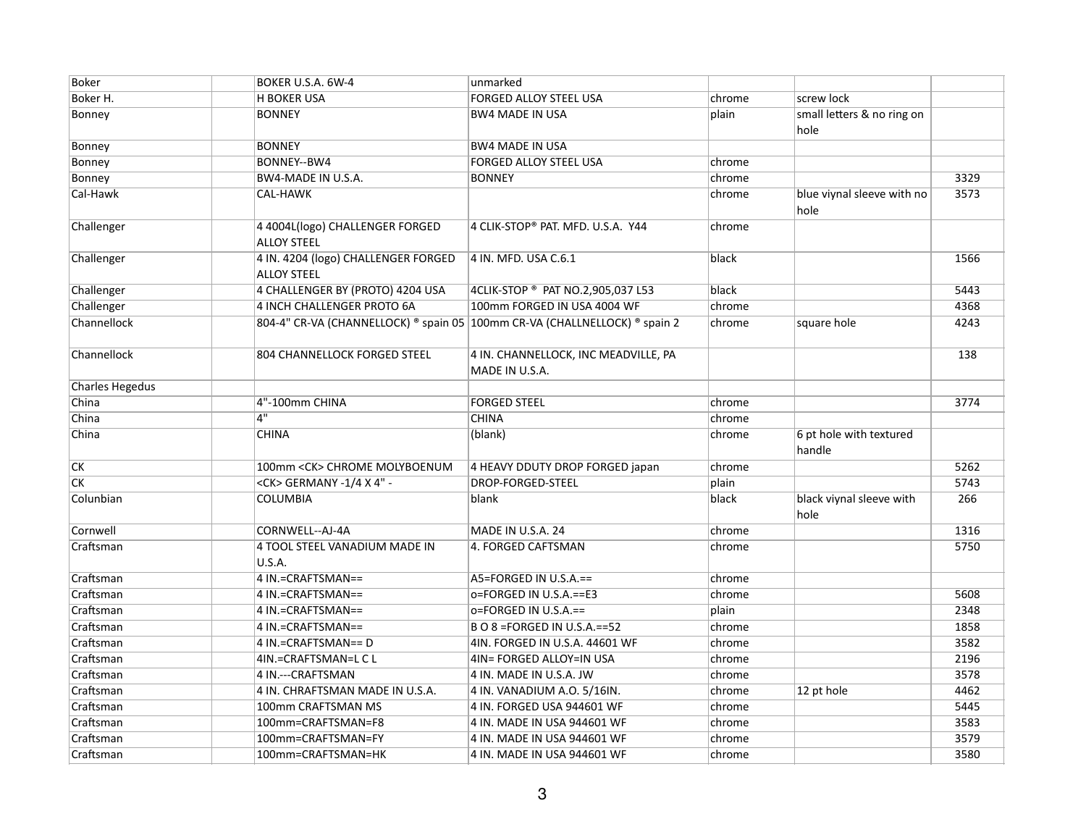| Boker                  | BOKER U.S.A. 6W-4                                         | unmarked                                                                   |        |                                    |      |
|------------------------|-----------------------------------------------------------|----------------------------------------------------------------------------|--------|------------------------------------|------|
| Boker H.               | <b>H BOKER USA</b>                                        | FORGED ALLOY STEEL USA                                                     | chrome | screw lock                         |      |
| Bonney                 | <b>BONNEY</b>                                             | <b>BW4 MADE IN USA</b>                                                     | plain  | small letters & no ring on<br>hole |      |
| Bonney                 | <b>BONNEY</b>                                             | <b>BW4 MADE IN USA</b>                                                     |        |                                    |      |
| Bonney                 | BONNEY--BW4                                               | <b>FORGED ALLOY STEEL USA</b>                                              | chrome |                                    |      |
| Bonney                 | BW4-MADE IN U.S.A.                                        | <b>BONNEY</b>                                                              | chrome |                                    | 3329 |
| Cal-Hawk               | CAL-HAWK                                                  |                                                                            | chrome | blue viynal sleeve with no<br>hole | 3573 |
| Challenger             | 4 4004L(logo) CHALLENGER FORGED<br><b>ALLOY STEEL</b>     | 4 CLIK-STOP® PAT. MFD. U.S.A. Y44                                          | chrome |                                    |      |
| Challenger             | 4 IN. 4204 (logo) CHALLENGER FORGED<br><b>ALLOY STEEL</b> | 4 IN. MFD. USA C.6.1                                                       | black  |                                    | 1566 |
| Challenger             | 4 CHALLENGER BY (PROTO) 4204 USA                          | 4CLIK-STOP ® PAT NO.2,905,037 L53                                          | black  |                                    | 5443 |
| Challenger             | <b>4 INCH CHALLENGER PROTO 6A</b>                         | 100mm FORGED IN USA 4004 WF                                                | chrome |                                    | 4368 |
| Channellock            |                                                           | 804-4" CR-VA (CHANNELLOCK) ® spain 05 100mm CR-VA (CHALLNELLOCK) ® spain 2 | chrome | square hole                        | 4243 |
| Channellock            | <b>804 CHANNELLOCK FORGED STEEL</b>                       | 4 IN. CHANNELLOCK, INC MEADVILLE, PA<br>MADE IN U.S.A.                     |        |                                    | 138  |
| <b>Charles Hegedus</b> |                                                           |                                                                            |        |                                    |      |
| China                  | 4"-100mm CHINA                                            | <b>FORGED STEEL</b>                                                        | chrome |                                    | 3774 |
| China                  | 4"                                                        | <b>CHINA</b>                                                               | chrome |                                    |      |
| China                  | <b>CHINA</b>                                              | (blank)                                                                    | chrome | 6 pt hole with textured<br>handle  |      |
| $\overline{\text{CK}}$ | 100mm < CK> CHROME MOLYBOENUM                             | 4 HEAVY DDUTY DROP FORGED japan                                            | chrome |                                    | 5262 |
| $\overline{CK}$        | <ck> GERMANY -1/4 X 4" -</ck>                             | DROP-FORGED-STEEL                                                          | plain  |                                    | 5743 |
| Colunbian              | <b>COLUMBIA</b>                                           | blank                                                                      | black  | black viynal sleeve with<br>hole   | 266  |
| Cornwell               | CORNWELL--AJ-4A                                           | MADE IN U.S.A. 24                                                          | chrome |                                    | 1316 |
| Craftsman              | 4 TOOL STEEL VANADIUM MADE IN<br>U.S.A.                   | 4. FORGED CAFTSMAN                                                         | chrome |                                    | 5750 |
| Craftsman              | 4 IN.=CRAFTSMAN==                                         | A5=FORGED IN U.S.A.==                                                      | chrome |                                    |      |
| Craftsman              | 4 IN.=CRAFTSMAN==                                         | o=FORGED IN U.S.A. == E3                                                   | chrome |                                    | 5608 |
| Craftsman              | 4 IN.=CRAFTSMAN==                                         | o=FORGED IN U.S.A.==                                                       | plain  |                                    | 2348 |
| Craftsman              | 4 IN.=CRAFTSMAN==                                         | B O 8 = FORGED IN U.S.A. = = 52                                            | chrome |                                    | 1858 |
| Craftsman              | 4 IN.=CRAFTSMAN== D                                       | 4IN. FORGED IN U.S.A. 44601 WF                                             | chrome |                                    | 3582 |
| Craftsman              | 4IN.=CRAFTSMAN=L C L                                      | 4IN= FORGED ALLOY=IN USA                                                   | chrome |                                    | 2196 |
| Craftsman              | 4 IN .--- CRAFTSMAN                                       | 4 IN. MADE IN U.S.A. JW                                                    | chrome |                                    | 3578 |
| Craftsman              | 4 IN. CHRAFTSMAN MADE IN U.S.A.                           | 4 IN. VANADIUM A.O. 5/16IN.                                                | chrome | 12 pt hole                         | 4462 |
| Craftsman              | 100mm CRAFTSMAN MS                                        | 4 IN. FORGED USA 944601 WF                                                 | chrome |                                    | 5445 |
| Craftsman              | 100mm=CRAFTSMAN=F8                                        | 4 IN. MADE IN USA 944601 WF                                                | chrome |                                    | 3583 |
| Craftsman              | 100mm=CRAFTSMAN=FY                                        | 4 IN. MADE IN USA 944601 WF                                                | chrome |                                    | 3579 |
| Craftsman              | 100mm=CRAFTSMAN=HK                                        | 4 IN. MADE IN USA 944601 WF                                                | chrome |                                    | 3580 |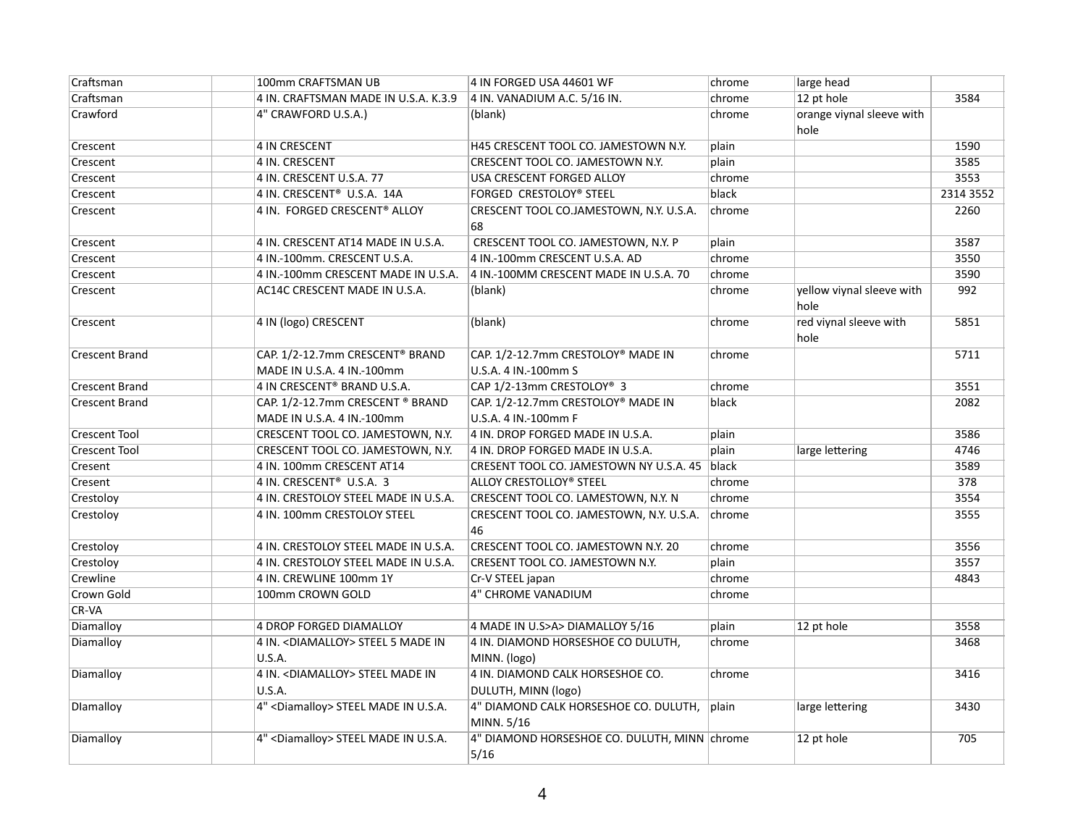| Craftsman             | 100mm CRAFTSMAN UB                                             | 4 IN FORGED USA 44601 WF                                   | chrome | large head                        |           |
|-----------------------|----------------------------------------------------------------|------------------------------------------------------------|--------|-----------------------------------|-----------|
| Craftsman             | 4 IN. CRAFTSMAN MADE IN U.S.A. K.3.9                           | 4 IN. VANADIUM A.C. 5/16 IN.                               | chrome | 12 pt hole                        | 3584      |
| Crawford              | 4" CRAWFORD U.S.A.)                                            | (blank)                                                    | chrome | orange viynal sleeve with<br>hole |           |
| Crescent              | 4 IN CRESCENT                                                  | H45 CRESCENT TOOL CO. JAMESTOWN N.Y.                       | plain  |                                   | 1590      |
| Crescent              | 4 IN. CRESCENT                                                 | CRESCENT TOOL CO. JAMESTOWN N.Y.                           | plain  |                                   | 3585      |
| Crescent              | 4 IN. CRESCENT U.S.A. 77                                       | USA CRESCENT FORGED ALLOY                                  | chrome |                                   | 3553      |
| Crescent              | 4 IN. CRESCENT® U.S.A. 14A                                     | FORGED CRESTOLOY® STEEL                                    | black  |                                   | 2314 3552 |
| Crescent              | 4 IN. FORGED CRESCENT® ALLOY                                   | CRESCENT TOOL CO.JAMESTOWN, N.Y. U.S.A.<br>68              | chrome |                                   | 2260      |
| Crescent              | 4 IN. CRESCENT AT14 MADE IN U.S.A.                             | CRESCENT TOOL CO. JAMESTOWN, N.Y. P                        | plain  |                                   | 3587      |
| Crescent              | 4 IN.-100mm. CRESCENT U.S.A.                                   | 4 IN.-100mm CRESCENT U.S.A. AD                             | chrome |                                   | 3550      |
| Crescent              | 4 IN.-100mm CRESCENT MADE IN U.S.A.                            | 4 IN.-100MM CRESCENT MADE IN U.S.A. 70                     | chrome |                                   | 3590      |
| Crescent              | AC14C CRESCENT MADE IN U.S.A.                                  | (blank)                                                    | chrome | yellow viynal sleeve with<br>hole | 992       |
| Crescent              | 4 IN (logo) CRESCENT                                           | (blank)                                                    | chrome | red viynal sleeve with<br>hole    | 5851      |
| <b>Crescent Brand</b> | CAP. 1/2-12.7mm CRESCENT® BRAND                                | CAP. 1/2-12.7mm CRESTOLOY® MADE IN                         | chrome |                                   | 5711      |
|                       | MADE IN U.S.A. 4 IN.-100mm                                     | U.S.A. 4 IN.-100mm S                                       |        |                                   |           |
| <b>Crescent Brand</b> | 4 IN CRESCENT® BRAND U.S.A.                                    | CAP 1/2-13mm CRESTOLOY <sup>®</sup> 3                      | chrome |                                   | 3551      |
| <b>Crescent Brand</b> | CAP. 1/2-12.7mm CRESCENT ® BRAND<br>MADE IN U.S.A. 4 IN.-100mm | CAP. 1/2-12.7mm CRESTOLOY® MADE IN<br>U.S.A. 4 IN.-100mm F | black  |                                   | 2082      |
| <b>Crescent Tool</b>  | CRESCENT TOOL CO. JAMESTOWN, N.Y.                              | 4 IN. DROP FORGED MADE IN U.S.A.                           | plain  |                                   | 3586      |
| Crescent Tool         | CRESCENT TOOL CO. JAMESTOWN, N.Y.                              | 4 IN. DROP FORGED MADE IN U.S.A.                           | plain  | large lettering                   | 4746      |
| Cresent               | 4 IN. 100mm CRESCENT AT14                                      | CRESENT TOOL CO. JAMESTOWN NY U.S.A. 45 black              |        |                                   | 3589      |
| Cresent               | 4 IN. CRESCENT <sup>®</sup> U.S.A. 3                           | ALLOY CRESTOLLOY® STEEL                                    | chrome |                                   | 378       |
| Crestoloy             | 4 IN. CRESTOLOY STEEL MADE IN U.S.A.                           | CRESCENT TOOL CO. LAMESTOWN, N.Y. N                        | chrome |                                   | 3554      |
| Crestoloy             | 4 IN. 100mm CRESTOLOY STEEL                                    | CRESCENT TOOL CO. JAMESTOWN, N.Y. U.S.A.<br>46             | chrome |                                   | 3555      |
| Crestoloy             | 4 IN. CRESTOLOY STEEL MADE IN U.S.A.                           | CRESCENT TOOL CO. JAMESTOWN N.Y. 20                        | chrome |                                   | 3556      |
| Crestoloy             | 4 IN. CRESTOLOY STEEL MADE IN U.S.A.                           | CRESENT TOOL CO. JAMESTOWN N.Y.                            | plain  |                                   | 3557      |
| Crewline              | 4 IN. CREWLINE 100mm 1Y                                        | Cr-V STEEL japan                                           | chrome |                                   | 4843      |
| Crown Gold            | 100mm CROWN GOLD                                               | 4" CHROME VANADIUM                                         | chrome |                                   |           |
| CR-VA                 |                                                                |                                                            |        |                                   |           |
| Diamalloy             | 4 DROP FORGED DIAMALLOY                                        | 4 MADE IN U.S>A> DIAMALLOY 5/16                            | plain  | 12 pt hole                        | 3558      |
| Diamalloy             | 4 IN. < DIAMALLOY> STEEL 5 MADE IN                             | 4 IN. DIAMOND HORSESHOE CO DULUTH,                         | chrome |                                   | 3468      |
|                       | <b>U.S.A.</b>                                                  | MINN. (logo)                                               |        |                                   |           |
| Diamalloy             | 4 IN. < DIAMALLOY> STEEL MADE IN                               | 4 IN. DIAMOND CALK HORSESHOE CO.                           | chrome |                                   | 3416      |
|                       | U.S.A.                                                         | DULUTH, MINN (logo)                                        |        |                                   |           |
| Dlamalloy             | 4" <diamalloy> STEEL MADE IN U.S.A.</diamalloy>                | 4" DIAMOND CALK HORSESHOE CO. DULUTH, plain<br>MINN. 5/16  |        | large lettering                   | 3430      |
| Diamalloy             | 4" <diamalloy> STEEL MADE IN U.S.A.</diamalloy>                | 4" DIAMOND HORSESHOE CO. DULUTH, MINN chrome<br>5/16       |        | 12 pt hole                        | 705       |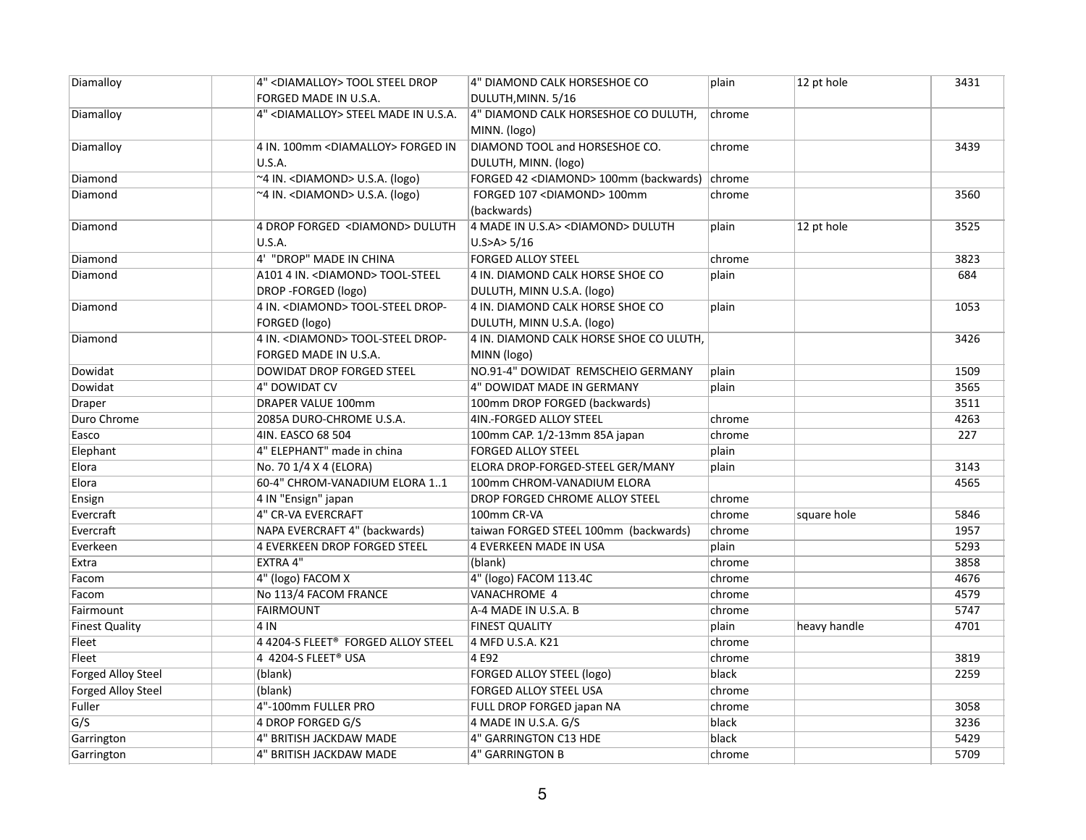| Diamalloy                 | 4" <diamalloy> TOOL STEEL DROP</diamalloy>      | 4" DIAMOND CALK HORSESHOE CO                           | plain  | 12 pt hole   | 3431 |
|---------------------------|-------------------------------------------------|--------------------------------------------------------|--------|--------------|------|
|                           | FORGED MADE IN U.S.A.                           | DULUTH, MINN. 5/16                                     |        |              |      |
| Diamalloy                 | 4" <diamalloy> STEEL MADE IN U.S.A.</diamalloy> | 4" DIAMOND CALK HORSESHOE CO DULUTH,                   | chrome |              |      |
|                           |                                                 | MINN. (logo)                                           |        |              |      |
| Diamalloy                 | 4 IN. 100mm < DIAMALLOY> FORGED IN              | DIAMOND TOOL and HORSESHOE CO.                         | chrome |              | 3439 |
|                           | U.S.A.                                          | DULUTH, MINN. (logo)                                   |        |              |      |
| Diamond                   | ~4 IN. <diamond> U.S.A. (logo)</diamond>        | FORGED 42 <diamond> 100mm (backwards) chrome</diamond> |        |              |      |
| Diamond                   | ~4 IN. < DIAMOND> U.S.A. (logo)                 | FORGED 107 <diamond> 100mm</diamond>                   | chrome |              | 3560 |
|                           |                                                 | (backwards)                                            |        |              |      |
| Diamond                   | 4 DROP FORGED <diamond> DULUTH</diamond>        | 4 MADE IN U.S.A> < DIAMOND> DULUTH                     | plain  | 12 pt hole   | 3525 |
|                           | U.S.A.                                          | $U.S$ >A> 5/16                                         |        |              |      |
| Diamond                   | 4' "DROP" MADE IN CHINA                         | <b>FORGED ALLOY STEEL</b>                              | chrome |              | 3823 |
| Diamond                   | A101 4 IN. < DIAMOND> TOOL-STEEL                | 4 IN. DIAMOND CALK HORSE SHOE CO                       | plain  |              | 684  |
|                           | DROP - FORGED (logo)                            | DULUTH, MINN U.S.A. (logo)                             |        |              |      |
| Diamond                   | 4 IN. < DIAMOND> TOOL-STEEL DROP-               | 4 IN. DIAMOND CALK HORSE SHOE CO                       | plain  |              | 1053 |
|                           | FORGED (logo)                                   | DULUTH, MINN U.S.A. (logo)                             |        |              |      |
| Diamond                   | 4 IN. < DIAMOND> TOOL-STEEL DROP-               | 4 IN. DIAMOND CALK HORSE SHOE CO ULUTH,                |        |              | 3426 |
|                           | FORGED MADE IN U.S.A.                           | MINN (logo)                                            |        |              |      |
| Dowidat                   | DOWIDAT DROP FORGED STEEL                       | NO.91-4" DOWIDAT REMSCHEIO GERMANY                     | plain  |              | 1509 |
| Dowidat                   | 4" DOWIDAT CV                                   | 4" DOWIDAT MADE IN GERMANY                             | plain  |              | 3565 |
| <b>Draper</b>             | <b>DRAPER VALUE 100mm</b>                       | 100mm DROP FORGED (backwards)                          |        |              | 3511 |
| Duro Chrome               | 2085A DURO-CHROME U.S.A.                        | 4IN.-FORGED ALLOY STEEL                                | chrome |              | 4263 |
| Easco                     | 4IN. EASCO 68 504                               | 100mm CAP. 1/2-13mm 85A japan                          | chrome |              | 227  |
| Elephant                  | 4" ELEPHANT" made in china                      | <b>FORGED ALLOY STEEL</b>                              | plain  |              |      |
| Elora                     | No. 70 1/4 X 4 (ELORA)                          | ELORA DROP-FORGED-STEEL GER/MANY                       | plain  |              | 3143 |
| Elora                     | 60-4" CHROM-VANADIUM ELORA 11                   | 100mm CHROM-VANADIUM ELORA                             |        |              | 4565 |
| Ensign                    | 4 IN "Ensign" japan                             | DROP FORGED CHROME ALLOY STEEL                         | chrome |              |      |
| Evercraft                 | 4" CR-VA EVERCRAFT                              | 100mm CR-VA                                            | chrome | square hole  | 5846 |
| Evercraft                 | NAPA EVERCRAFT 4" (backwards)                   | taiwan FORGED STEEL 100mm (backwards)                  | chrome |              | 1957 |
| Everkeen                  | <b>4 EVERKEEN DROP FORGED STEEL</b>             | <b>4 EVERKEEN MADE IN USA</b>                          | plain  |              | 5293 |
| Extra                     | <b>EXTRA 4"</b>                                 | (blank)                                                | chrome |              | 3858 |
| Facom                     | 4" (logo) FACOM X                               | 4" (logo) FACOM 113.4C                                 | chrome |              | 4676 |
| Facom                     | No 113/4 FACOM FRANCE                           | VANACHROME 4                                           | chrome |              | 4579 |
| Fairmount                 | <b>FAIRMOUNT</b>                                | A-4 MADE IN U.S.A. B                                   | chrome |              | 5747 |
| <b>Finest Quality</b>     | 4 IN                                            | <b>FINEST QUALITY</b>                                  | plain  | heavy handle | 4701 |
| Fleet                     | 4 4204-S FLEET® FORGED ALLOY STEEL              | 4 MFD U.S.A. K21                                       | chrome |              |      |
| Fleet                     | 4 4204-S FLEET® USA                             | 4 E92                                                  | chrome |              | 3819 |
| <b>Forged Alloy Steel</b> | (blank)                                         | <b>FORGED ALLOY STEEL (logo)</b>                       | black  |              | 2259 |
| <b>Forged Alloy Steel</b> | (blank)                                         | <b>FORGED ALLOY STEEL USA</b>                          | chrome |              |      |
| Fuller                    | 4"-100mm FULLER PRO                             | FULL DROP FORGED japan NA                              | chrome |              | 3058 |
| G/S                       | 4 DROP FORGED G/S                               | 4 MADE IN U.S.A. G/S                                   | black  |              | 3236 |
| Garrington                | 4" BRITISH JACKDAW MADE                         | 4" GARRINGTON C13 HDE                                  | black  |              | 5429 |
| Garrington                | 4" BRITISH JACKDAW MADE                         | <b>4" GARRINGTON B</b>                                 | chrome |              | 5709 |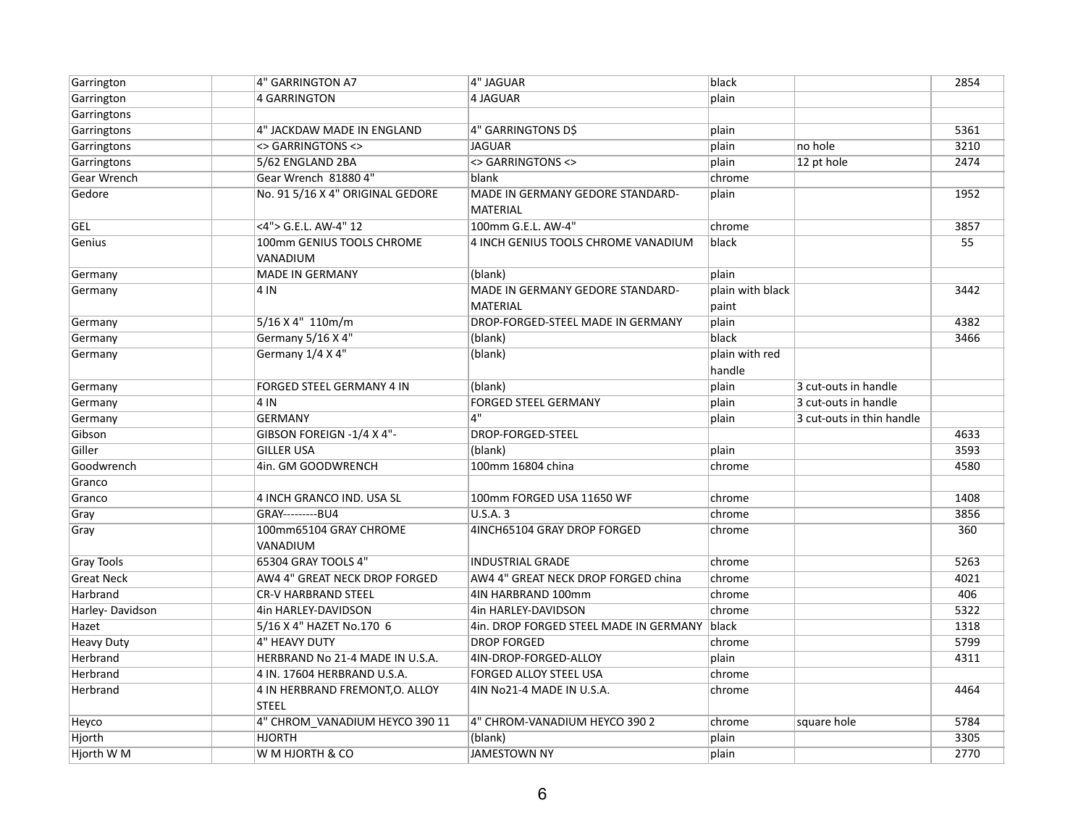| Garrington         | 4" GARRINGTON A7                                | 4" JAGUAR                                           | black                     |                           | 2854 |
|--------------------|-------------------------------------------------|-----------------------------------------------------|---------------------------|---------------------------|------|
| Garrington         | 4 GARRINGTON                                    | 4 JAGUAR                                            | plain                     |                           |      |
| Garringtons        |                                                 |                                                     |                           |                           |      |
| Garringtons        | 4" JACKDAW MADE IN ENGLAND                      | 4" GARRINGTONS D\$                                  | plain                     |                           | 5361 |
| Garringtons        | <> GARRINGTONS <>                               | <b>JAGUAR</b>                                       | plain                     | no hole                   | 3210 |
| Garringtons        | 5/62 ENGLAND 2BA                                | <> GARRINGTONS <>                                   | plain                     | 12 pt hole                | 2474 |
| <b>Gear Wrench</b> | Gear Wrench 81880 4"                            | blank                                               | chrome                    |                           |      |
| Gedore             | No. 91 5/16 X 4" ORIGINAL GEDORE                | MADE IN GERMANY GEDORE STANDARD-<br><b>MATERIAL</b> | plain                     |                           | 1952 |
| GEL                | <4"> G.E.L. AW-4" 12                            | 100mm G.E.L. AW-4"                                  | chrome                    |                           | 3857 |
| Genius             | 100mm GENIUS TOOLS CHROME<br>VANADIUM           | 4 INCH GENIUS TOOLS CHROME VANADIUM                 | black                     |                           | 55   |
| Germany            | <b>MADE IN GERMANY</b>                          | (blank)                                             | plain                     |                           |      |
| Germany            | 4 IN                                            | MADE IN GERMANY GEDORE STANDARD-<br><b>MATERIAL</b> | plain with black<br>paint |                           | 3442 |
| Germany            | 5/16 X 4" 110m/m                                | DROP-FORGED-STEEL MADE IN GERMANY                   | plain                     |                           | 4382 |
| Germany            | Germany 5/16 X 4"                               | (blank)                                             | black                     |                           | 3466 |
| Germany            | Germany 1/4 X 4"                                | (blank)                                             | plain with red<br>handle  |                           |      |
| Germany            | FORGED STEEL GERMANY 4 IN                       | (blank)                                             | plain                     | 3 cut-outs in handle      |      |
| Germany            | 4 IN                                            | <b>FORGED STEEL GERMANY</b>                         | plain                     | 3 cut-outs in handle      |      |
| Germany            | <b>GERMANY</b>                                  | 4"                                                  | plain                     | 3 cut-outs in thin handle |      |
| Gibson             | GIBSON FOREIGN -1/4 X 4"-                       | DROP-FORGED-STEEL                                   |                           |                           | 4633 |
| Giller             | <b>GILLER USA</b>                               | (blank)                                             | plain                     |                           | 3593 |
| Goodwrench         | 4in. GM GOODWRENCH                              | 100mm 16804 china                                   | chrome                    |                           | 4580 |
| Granco             |                                                 |                                                     |                           |                           |      |
| Granco             | 4 INCH GRANCO IND. USA SL                       | 100mm FORGED USA 11650 WF                           | chrome                    |                           | 1408 |
| Gray               | GRAY---------BU4                                | U.S.A. 3                                            | chrome                    |                           | 3856 |
| Gray               | 100mm65104 GRAY CHROME<br>VANADIUM              | 4INCH65104 GRAY DROP FORGED                         | chrome                    |                           | 360  |
| <b>Gray Tools</b>  | 65304 GRAY TOOLS 4"                             | <b>INDUSTRIAL GRADE</b>                             | chrome                    |                           | 5263 |
| <b>Great Neck</b>  | AW4 4" GREAT NECK DROP FORGED                   | AW4 4" GREAT NECK DROP FORGED china                 | chrome                    |                           | 4021 |
| Harbrand           | <b>CR-V HARBRAND STEEL</b>                      | 4IN HARBRAND 100mm                                  | chrome                    |                           | 406  |
| Harley-Davidson    | 4in HARLEY-DAVIDSON                             | 4in HARLEY-DAVIDSON                                 | chrome                    |                           | 5322 |
| Hazet              | 5/16 X 4" HAZET No.170 6                        | 4in. DROP FORGED STEEL MADE IN GERMANY black        |                           |                           | 1318 |
| <b>Heavy Duty</b>  | 4" HEAVY DUTY                                   | <b>DROP FORGED</b>                                  | chrome                    |                           | 5799 |
| Herbrand           | HERBRAND No 21-4 MADE IN U.S.A.                 | 4IN-DROP-FORGED-ALLOY                               | plain                     |                           | 4311 |
| Herbrand           | 4 IN. 17604 HERBRAND U.S.A.                     | FORGED ALLOY STEEL USA                              | chrome                    |                           |      |
| Herbrand           | 4 IN HERBRAND FREMONT, O. ALLOY<br><b>STEEL</b> | 4IN No21-4 MADE IN U.S.A.                           | chrome                    |                           | 4464 |
| Heyco              | 4" CHROM VANADIUM HEYCO 390 11                  | 4" CHROM-VANADIUM HEYCO 390 2                       | chrome                    | square hole               | 5784 |
| Hjorth             | <b>HJORTH</b>                                   | (blank)                                             | plain                     |                           | 3305 |
| Hjorth W M         | W M HJORTH & CO                                 | <b>JAMESTOWN NY</b>                                 | plain                     |                           | 2770 |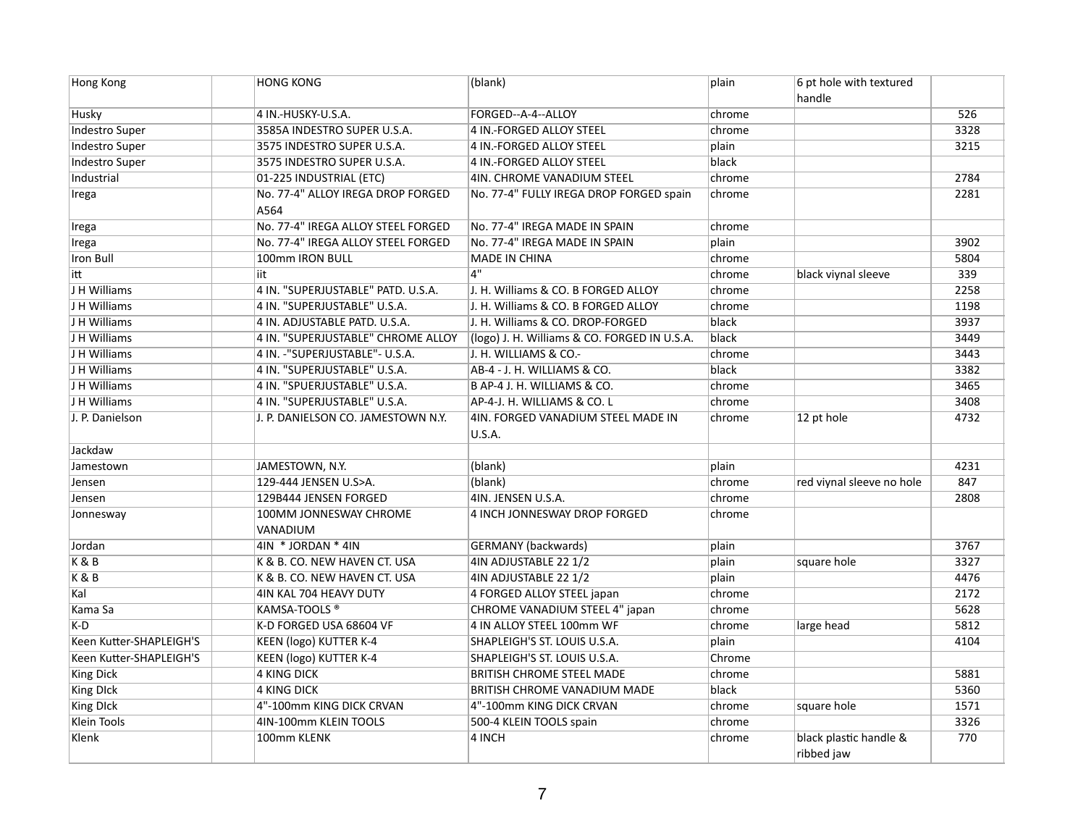| <b>Hong Kong</b>        | <b>HONG KONG</b>                          | (blank)                                             | plain  | 6 pt hole with textured<br>handle    |      |
|-------------------------|-------------------------------------------|-----------------------------------------------------|--------|--------------------------------------|------|
| Husky                   | 4 IN.-HUSKY-U.S.A.                        | FORGED--A-4--ALLOY                                  | chrome |                                      | 526  |
| <b>Indestro Super</b>   | 3585A INDESTRO SUPER U.S.A.               | 4 IN.-FORGED ALLOY STEEL                            | chrome |                                      | 3328 |
| <b>Indestro Super</b>   | 3575 INDESTRO SUPER U.S.A.                | 4 IN.-FORGED ALLOY STEEL                            | plain  |                                      | 3215 |
| <b>Indestro Super</b>   | 3575 INDESTRO SUPER U.S.A.                | 4 IN.-FORGED ALLOY STEEL                            | black  |                                      |      |
| Industrial              | 01-225 INDUSTRIAL (ETC)                   | 4IN. CHROME VANADIUM STEEL                          | chrome |                                      | 2784 |
| Irega                   | No. 77-4" ALLOY IREGA DROP FORGED<br>A564 | No. 77-4" FULLY IREGA DROP FORGED spain             | chrome |                                      | 2281 |
| Irega                   | No. 77-4" IREGA ALLOY STEEL FORGED        | No. 77-4" IREGA MADE IN SPAIN                       | chrome |                                      |      |
| Irega                   | No. 77-4" IREGA ALLOY STEEL FORGED        | No. 77-4" IREGA MADE IN SPAIN                       | plain  |                                      | 3902 |
| <b>Iron Bull</b>        | 100mm IRON BULL                           | <b>MADE IN CHINA</b>                                | chrome |                                      | 5804 |
| litt                    | iit                                       | 4"                                                  | chrome | black viynal sleeve                  | 339  |
| J H Williams            | 4 IN. "SUPERJUSTABLE" PATD. U.S.A.        | J. H. Williams & CO. B FORGED ALLOY                 | chrome |                                      | 2258 |
| J H Williams            | 4 IN. "SUPERJUSTABLE" U.S.A.              | J. H. Williams & CO. B FORGED ALLOY                 | chrome |                                      | 1198 |
| J H Williams            | 4 IN. ADJUSTABLE PATD. U.S.A.             | J. H. Williams & CO. DROP-FORGED                    | black  |                                      | 3937 |
| J H Williams            | 4 IN. "SUPERJUSTABLE" CHROME ALLOY        | (logo) J. H. Williams & CO. FORGED IN U.S.A.        | black  |                                      | 3449 |
| J H Williams            | 4 IN. -"SUPERJUSTABLE"- U.S.A.            | J. H. WILLIAMS & CO.-                               | chrome |                                      | 3443 |
| J H Williams            | 4 IN. "SUPERJUSTABLE" U.S.A.              | AB-4 - J. H. WILLIAMS & CO.                         | black  |                                      | 3382 |
| J H Williams            | 4 IN. "SPUERJUSTABLE" U.S.A.              | B AP-4 J. H. WILLIAMS & CO.                         | chrome |                                      | 3465 |
| J H Williams            | 4 IN. "SUPERJUSTABLE" U.S.A.              | AP-4-J. H. WILLIAMS & CO. L                         | chrome |                                      | 3408 |
| J. P. Danielson         | J. P. DANIELSON CO. JAMESTOWN N.Y.        | 4IN. FORGED VANADIUM STEEL MADE IN<br><b>U.S.A.</b> | chrome | 12 pt hole                           | 4732 |
| Jackdaw                 |                                           |                                                     |        |                                      |      |
| Jamestown               | JAMESTOWN, N.Y.                           | (blank)                                             | plain  |                                      | 4231 |
| Jensen                  | 129-444 JENSEN U.S>A.                     | (blank)                                             | chrome | red viynal sleeve no hole            | 847  |
| Jensen                  | 129B444 JENSEN FORGED                     | 4IN. JENSEN U.S.A.                                  | chrome |                                      | 2808 |
| Jonnesway               | 100MM JONNESWAY CHROME<br>VANADIUM        | 4 INCH JONNESWAY DROP FORGED                        | chrome |                                      |      |
| Jordan                  | 4IN * JORDAN * 4IN                        | <b>GERMANY</b> (backwards)                          | plain  |                                      | 3767 |
| K & B                   | K & B. CO. NEW HAVEN CT. USA              | 4IN ADJUSTABLE 22 1/2                               | plain  | square hole                          | 3327 |
| K & B                   | K & B. CO. NEW HAVEN CT. USA              | 4IN ADJUSTABLE 22 1/2                               | plain  |                                      | 4476 |
| Kal                     | 4IN KAL 704 HEAVY DUTY                    | 4 FORGED ALLOY STEEL japan                          | chrome |                                      | 2172 |
| Kama Sa                 | KAMSA-TOOLS <sup>®</sup>                  | CHROME VANADIUM STEEL 4" japan                      | chrome |                                      | 5628 |
| K-D                     | K-D FORGED USA 68604 VF                   | 4 IN ALLOY STEEL 100mm WF                           | chrome | large head                           | 5812 |
| Keen Kutter-SHAPLEIGH'S | <b>KEEN (logo) KUTTER K-4</b>             | SHAPLEIGH'S ST. LOUIS U.S.A.                        | plain  |                                      | 4104 |
| Keen Kutter-SHAPLEIGH'S | <b>KEEN (logo) KUTTER K-4</b>             | SHAPLEIGH'S ST. LOUIS U.S.A.                        | Chrome |                                      |      |
| <b>King Dick</b>        | <b>4 KING DICK</b>                        | <b>BRITISH CHROME STEEL MADE</b>                    | chrome |                                      | 5881 |
| <b>King DIck</b>        | <b>4 KING DICK</b>                        | <b>BRITISH CHROME VANADIUM MADE</b>                 | black  |                                      | 5360 |
| <b>King DIck</b>        | 4"-100mm KING DICK CRVAN                  | 4"-100mm KING DICK CRVAN                            | chrome | square hole                          | 1571 |
| <b>Klein Tools</b>      | 4IN-100mm KLEIN TOOLS                     | 500-4 KLEIN TOOLS spain                             | chrome |                                      | 3326 |
| Klenk                   | 100mm KLENK                               | 4 INCH                                              | chrome | black plastic handle &<br>ribbed jaw | 770  |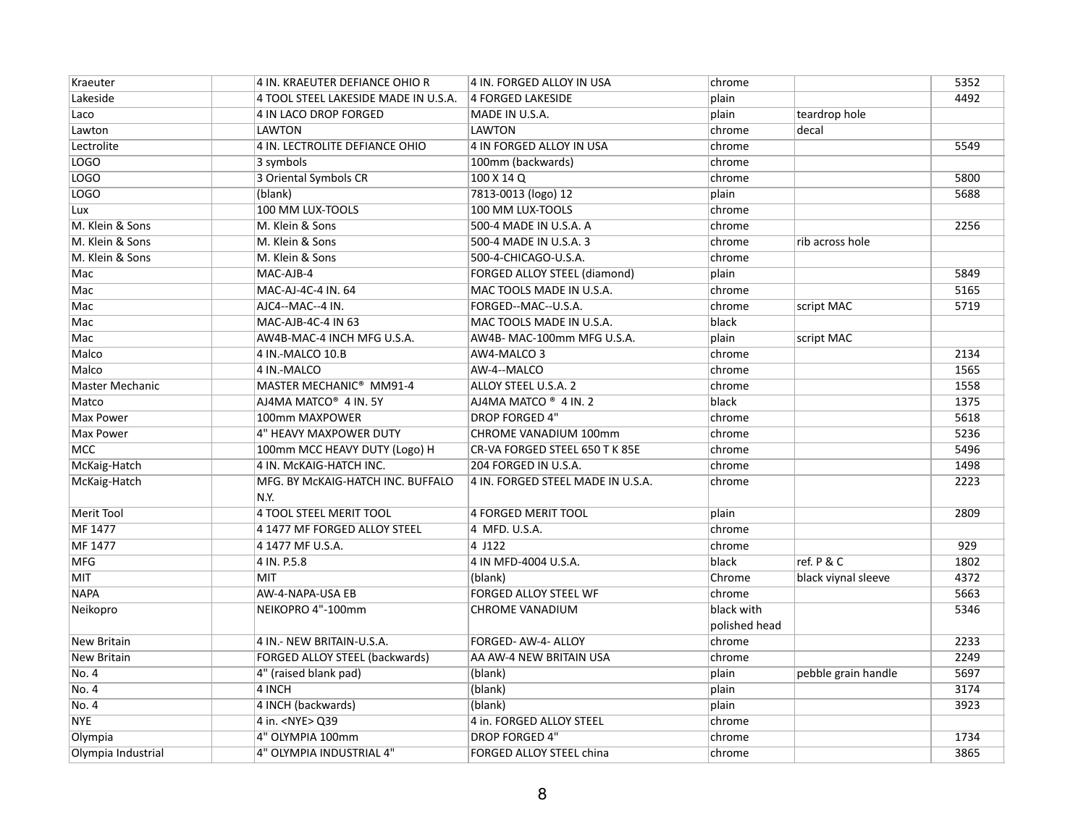| Kraeuter               | 4 IN. KRAEUTER DEFIANCE OHIO R            | 4 IN. FORGED ALLOY IN USA                    | chrome                      |                     | 5352 |
|------------------------|-------------------------------------------|----------------------------------------------|-----------------------------|---------------------|------|
| Lakeside               | 4 TOOL STEEL LAKESIDE MADE IN U.S.A.      | 4 FORGED LAKESIDE<br>plain                   |                             |                     | 4492 |
| Laco                   | 4 IN LACO DROP FORGED                     | MADE IN U.S.A.<br>plain                      |                             | teardrop hole       |      |
| Lawton                 | <b>LAWTON</b>                             | <b>LAWTON</b>                                | chrome                      | decal               |      |
| Lectrolite             | 4 IN. LECTROLITE DEFIANCE OHIO            | 4 IN FORGED ALLOY IN USA                     | chrome                      |                     | 5549 |
| LOGO                   | 3 symbols                                 | 100mm (backwards)                            | chrome                      |                     |      |
| LOGO                   | 3 Oriental Symbols CR                     | 100 X 14 Q                                   | chrome                      |                     | 5800 |
| LOGO                   | (blank)                                   | 7813-0013 (logo) 12<br>plain                 |                             |                     | 5688 |
| Lux                    | 100 MM LUX-TOOLS                          | 100 MM LUX-TOOLS                             | chrome                      |                     |      |
| M. Klein & Sons        | M. Klein & Sons                           | 500-4 MADE IN U.S.A. A                       | chrome                      |                     | 2256 |
| M. Klein & Sons        | M. Klein & Sons                           | 500-4 MADE IN U.S.A. 3                       | chrome                      | rib across hole     |      |
| M. Klein & Sons        | M. Klein & Sons                           | 500-4-CHICAGO-U.S.A.                         | chrome                      |                     |      |
| Mac                    | MAC-AJB-4                                 | <b>FORGED ALLOY STEEL (diamond)</b><br>plain |                             |                     | 5849 |
| Mac                    | MAC-AJ-4C-4 IN. 64                        | MAC TOOLS MADE IN U.S.A.                     | chrome                      |                     | 5165 |
| Mac                    | AJC4--MAC--4 IN.                          | FORGED--MAC--U.S.A.                          | chrome                      | script MAC          | 5719 |
| Mac                    | MAC-AJB-4C-4 IN 63                        | MAC TOOLS MADE IN U.S.A.<br>black            |                             |                     |      |
| Mac                    | AW4B-MAC-4 INCH MFG U.S.A.                | AW4B- MAC-100mm MFG U.S.A.<br>plain          |                             | script MAC          |      |
| Malco                  | 4 IN.-MALCO 10.B                          | AW4-MALCO 3                                  | chrome                      |                     | 2134 |
| Malco                  | 4 IN.-MALCO                               | AW-4--MALCO                                  | chrome                      |                     | 1565 |
| <b>Master Mechanic</b> | MASTER MECHANIC <sup>®</sup> MM91-4       | ALLOY STEEL U.S.A. 2                         | chrome                      |                     | 1558 |
| Matco                  | AJ4MA MATCO <sup>®</sup> 4 IN. 5Y         | AJ4MA MATCO ® 4 IN. 2<br>black               |                             |                     | 1375 |
| <b>Max Power</b>       | 100mm MAXPOWER                            | <b>DROP FORGED 4"</b>                        | chrome                      |                     | 5618 |
| <b>Max Power</b>       | 4" HEAVY MAXPOWER DUTY                    | CHROME VANADIUM 100mm                        | chrome                      |                     | 5236 |
| <b>MCC</b>             | 100mm MCC HEAVY DUTY (Logo) H             | CR-VA FORGED STEEL 650 T K 85E               | chrome                      |                     | 5496 |
| McKaig-Hatch           | 4 IN. McKAIG-HATCH INC.                   | 204 FORGED IN U.S.A.                         | chrome                      |                     | 1498 |
| McKaig-Hatch           | MFG. BY MCKAIG-HATCH INC. BUFFALO<br>N.Y. | 4 IN. FORGED STEEL MADE IN U.S.A.            | chrome                      |                     | 2223 |
| <b>Merit Tool</b>      | <b>4 TOOL STEEL MERIT TOOL</b>            | <b>4 FORGED MERIT TOOL</b><br>plain          |                             |                     | 2809 |
| MF 1477                | 4 1477 MF FORGED ALLOY STEEL              | 4 MFD. U.S.A.                                | chrome                      |                     |      |
| MF 1477                | 4 1477 MF U.S.A.                          | 4 J122                                       | chrome                      |                     | 929  |
| <b>MFG</b>             | 4 IN. P.5.8                               | 4 IN MFD-4004 U.S.A.<br>black                |                             | ref. P & C          | 1802 |
| MIT                    | MIT                                       | (blank)                                      | Chrome                      | black viynal sleeve | 4372 |
| <b>NAPA</b>            | AW-4-NAPA-USA EB                          | FORGED ALLOY STEEL WF                        | chrome                      |                     | 5663 |
| Neikopro               | NEIKOPRO 4"-100mm                         | CHROME VANADIUM                              | black with<br>polished head |                     | 5346 |
| <b>New Britain</b>     | 4 IN.- NEW BRITAIN-U.S.A.                 | FORGED- AW-4- ALLOY                          | chrome                      |                     | 2233 |
| <b>New Britain</b>     | FORGED ALLOY STEEL (backwards)            | AA AW-4 NEW BRITAIN USA                      | chrome                      |                     | 2249 |
| No. 4                  | 4" (raised blank pad)                     | (blank)<br>plain                             |                             | pebble grain handle | 5697 |
| No. 4                  | 4 INCH                                    | (blank)<br>plain                             |                             |                     | 3174 |
| No. 4                  | 4 INCH (backwards)                        | (blank)<br>plain                             |                             |                     | 3923 |
| <b>NYE</b>             | 4 in. <nye> Q39</nye>                     | 4 in. FORGED ALLOY STEEL                     | chrome                      |                     |      |
| Olympia                | 4" OLYMPIA 100mm                          | <b>DROP FORGED 4"</b>                        | chrome                      |                     | 1734 |
| Olympia Industrial     | 4" OLYMPIA INDUSTRIAL 4"                  | FORGED ALLOY STEEL china                     | chrome                      |                     | 3865 |
|                        |                                           |                                              |                             |                     |      |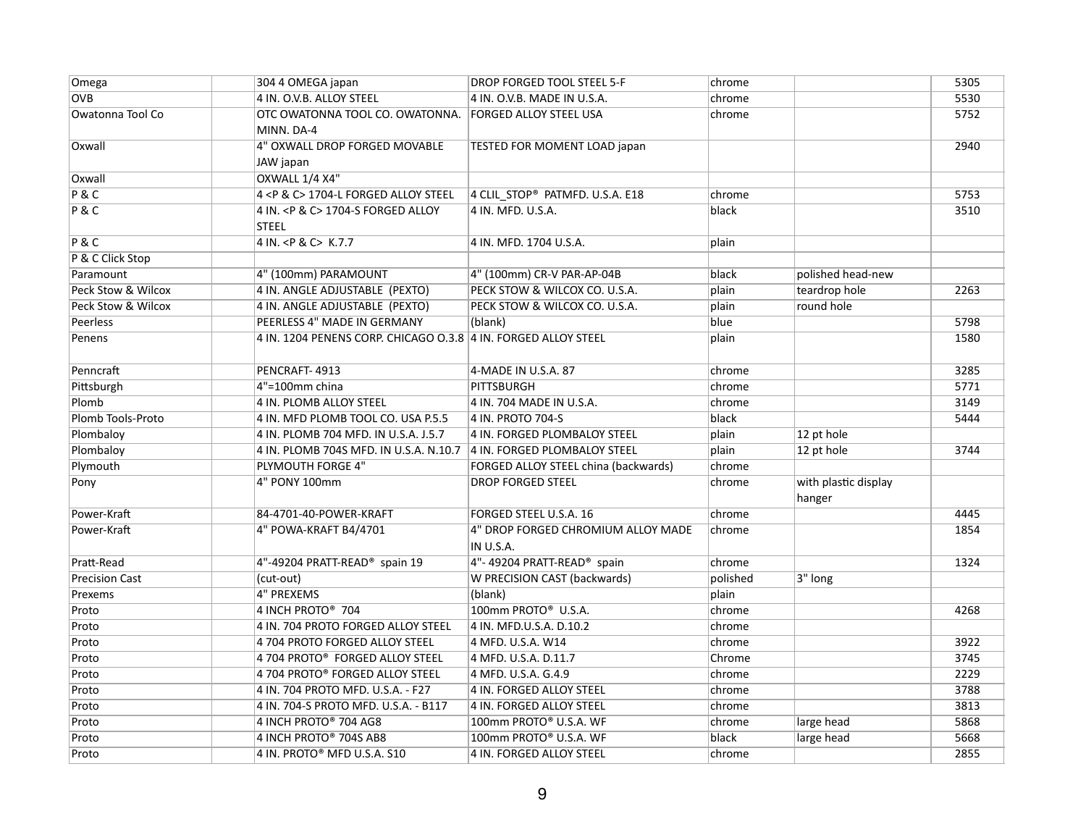| Omega                 | 304 4 OMEGA japan                                              | DROP FORGED TOOL STEEL 5-F           | chrome   |                                | 5305 |
|-----------------------|----------------------------------------------------------------|--------------------------------------|----------|--------------------------------|------|
| $\overline{OVB}$      | 4 IN. O.V.B. ALLOY STEEL                                       | 4 IN. O.V.B. MADE IN U.S.A.          | chrome   |                                | 5530 |
| Owatonna Tool Co      | OTC OWATONNA TOOL CO. OWATONNA.                                | FORGED ALLOY STEEL USA               | chrome   |                                | 5752 |
|                       | MINN. DA-4                                                     |                                      |          |                                |      |
| Oxwall                | 4" OXWALL DROP FORGED MOVABLE<br>JAW japan                     | TESTED FOR MOMENT LOAD japan         |          |                                | 2940 |
| Oxwall                | OXWALL 1/4 X4"                                                 |                                      |          |                                |      |
| P & C                 | 4 <p &="" c=""> 1704-L FORGED ALLOY STEEL</p>                  | 4 CLIL_STOP® PATMFD. U.S.A. E18      | chrome   |                                | 5753 |
| P & C                 | 4 IN. < P & C> 1704-S FORGED ALLOY                             | 4 IN. MFD. U.S.A.                    | black    |                                | 3510 |
|                       | <b>STEEL</b>                                                   |                                      |          |                                |      |
| P & C                 | 4 IN. < P & C> K.7.7                                           | 4 IN. MFD. 1704 U.S.A.               | plain    |                                |      |
| P & C Click Stop      |                                                                |                                      |          |                                |      |
| Paramount             | 4" (100mm) PARAMOUNT                                           | 4" (100mm) CR-V PAR-AP-04B           | black    | polished head-new              |      |
| Peck Stow & Wilcox    | 4 IN. ANGLE ADJUSTABLE (PEXTO)                                 | PECK STOW & WILCOX CO. U.S.A.        | plain    | teardrop hole                  | 2263 |
| Peck Stow & Wilcox    | 4 IN. ANGLE ADJUSTABLE (PEXTO)                                 | PECK STOW & WILCOX CO. U.S.A.        | plain    | round hole                     |      |
| Peerless              | PEERLESS 4" MADE IN GERMANY                                    | (blank)                              | blue     |                                | 5798 |
| Penens                | 4 IN. 1204 PENENS CORP. CHICAGO 0.3.8 4 IN. FORGED ALLOY STEEL |                                      | plain    |                                | 1580 |
| Penncraft             | PENCRAFT-4913                                                  | 4-MADE IN U.S.A. 87                  | chrome   |                                | 3285 |
| Pittsburgh            | 4"=100mm china                                                 | <b>PITTSBURGH</b>                    | chrome   |                                | 5771 |
| Plomb                 | 4 IN. PLOMB ALLOY STEEL                                        | 4 IN. 704 MADE IN U.S.A.             | chrome   |                                | 3149 |
| Plomb Tools-Proto     | 4 IN. MFD PLOMB TOOL CO. USA P.5.5                             | 4 IN. PROTO 704-S                    | black    |                                | 5444 |
| Plombaloy             | 4 IN. PLOMB 704 MFD. IN U.S.A. J.5.7                           | 4 IN. FORGED PLOMBALOY STEEL         | plain    | 12 pt hole                     |      |
| Plombaloy             | 4 IN. PLOMB 704S MFD. IN U.S.A. N.10.7                         | 4 IN. FORGED PLOMBALOY STEEL         | plain    | 12 pt hole                     | 3744 |
| Plymouth              | PLYMOUTH FORGE 4"                                              | FORGED ALLOY STEEL china (backwards) | chrome   |                                |      |
| Pony                  | 4" PONY 100mm                                                  | <b>DROP FORGED STEEL</b>             | chrome   | with plastic display<br>hanger |      |
| Power-Kraft           | 84-4701-40-POWER-KRAFT                                         | FORGED STEEL U.S.A. 16               | chrome   |                                | 4445 |
| Power-Kraft           | 4" POWA-KRAFT B4/4701                                          | 4" DROP FORGED CHROMIUM ALLOY MADE   | chrome   |                                | 1854 |
|                       |                                                                | IN U.S.A.                            |          |                                |      |
| Pratt-Read            | 4"-49204 PRATT-READ® spain 19                                  | 4"- 49204 PRATT-READ® spain          | chrome   |                                | 1324 |
| <b>Precision Cast</b> | (cut-out)                                                      | W PRECISION CAST (backwards)         | polished | 3" long                        |      |
| Prexems               | <b>4" PREXEMS</b>                                              | (blank)                              | plain    |                                |      |
| Proto                 | 4 INCH PROTO® 704                                              | 100mm PROTO® U.S.A.                  | chrome   |                                | 4268 |
| Proto                 | 4 IN. 704 PROTO FORGED ALLOY STEEL                             | 4 IN. MFD.U.S.A. D.10.2              | chrome   |                                |      |
| Proto                 | 4 704 PROTO FORGED ALLOY STEEL                                 | 4 MFD. U.S.A. W14                    | chrome   |                                | 3922 |
| Proto                 | 4 704 PROTO® FORGED ALLOY STEEL                                | 4 MFD. U.S.A. D.11.7                 | Chrome   |                                | 3745 |
| Proto                 | 4 704 PROTO® FORGED ALLOY STEEL                                | 4 MFD. U.S.A. G.4.9                  | chrome   |                                | 2229 |
| Proto                 | 4 IN. 704 PROTO MFD. U.S.A. - F27                              | 4 IN. FORGED ALLOY STEEL             | chrome   |                                | 3788 |
| Proto                 | 4 IN. 704-S PROTO MFD. U.S.A. - B117                           | 4 IN. FORGED ALLOY STEEL             | chrome   |                                | 3813 |
| Proto                 | 4 INCH PROTO® 704 AG8                                          | 100mm PROTO® U.S.A. WF               | chrome   | large head                     | 5868 |
| Proto                 | 4 INCH PROTO® 704S AB8                                         | 100mm PROTO® U.S.A. WF               | black    | large head                     | 5668 |
| Proto                 | 4 IN. PROTO® MFD U.S.A. S10                                    | 4 IN. FORGED ALLOY STEEL             | chrome   |                                | 2855 |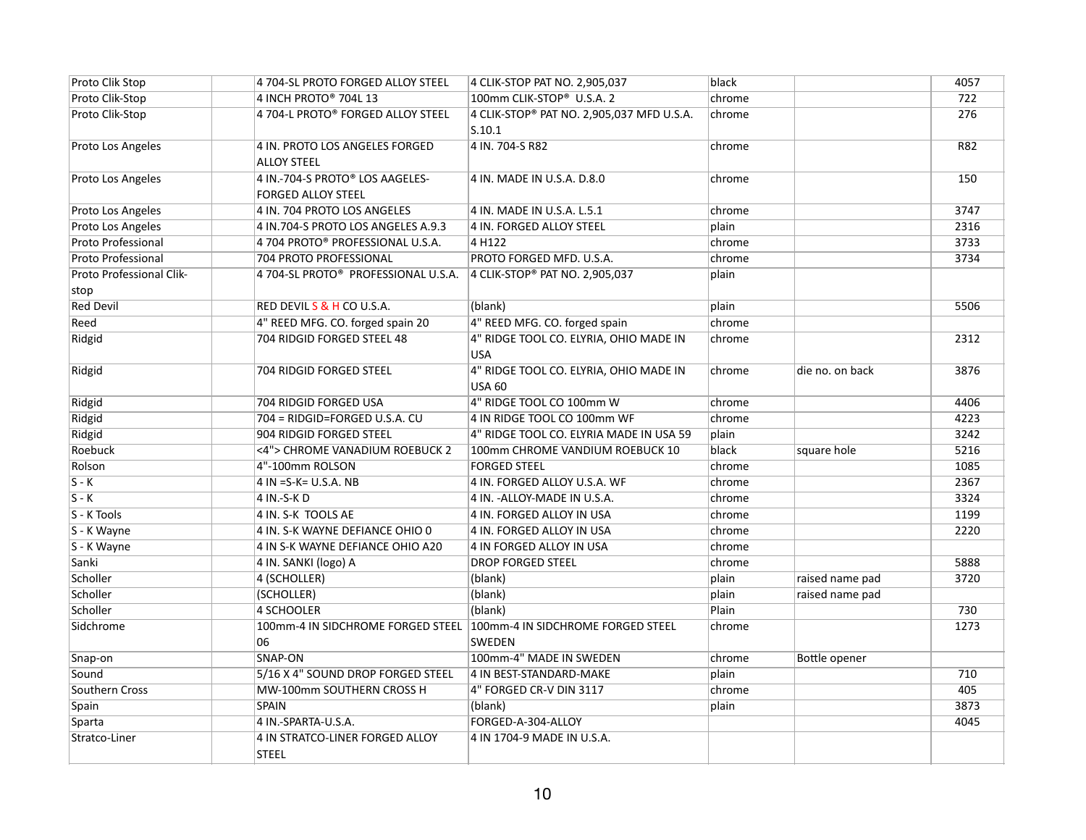| Proto Clik Stop                  | 4 704-SL PROTO FORGED ALLOY STEEL                            | 4 CLIK-STOP PAT NO. 2,905,037                           | black  |                 | 4057       |
|----------------------------------|--------------------------------------------------------------|---------------------------------------------------------|--------|-----------------|------------|
| Proto Clik-Stop                  | 4 INCH PROTO® 704L 13                                        | 100mm CLIK-STOP® U.S.A. 2                               | chrome |                 | 722        |
| Proto Clik-Stop                  | 4 704-L PROTO® FORGED ALLOY STEEL                            | 4 CLIK-STOP® PAT NO. 2,905,037 MFD U.S.A.<br>S.10.1     | chrome |                 | 276        |
| Proto Los Angeles                | 4 IN. PROTO LOS ANGELES FORGED<br><b>ALLOY STEEL</b>         | 4 IN. 704-S R82                                         | chrome |                 | <b>R82</b> |
| Proto Los Angeles                | 4 IN.-704-S PROTO® LOS AAGELES-<br><b>FORGED ALLOY STEEL</b> | 4 IN. MADE IN U.S.A. D.8.0                              | chrome |                 | 150        |
| Proto Los Angeles                | 4 IN. 704 PROTO LOS ANGELES                                  | 4 IN. MADE IN U.S.A. L.5.1                              | chrome |                 | 3747       |
| Proto Los Angeles                | 4 IN.704-S PROTO LOS ANGELES A.9.3                           | 4 IN. FORGED ALLOY STEEL                                | plain  |                 | 2316       |
| <b>Proto Professional</b>        | 4 704 PROTO® PROFESSIONAL U.S.A.                             | 4 H122                                                  | chrome |                 | 3733       |
| Proto Professional               | 704 PROTO PROFESSIONAL                                       | PROTO FORGED MFD. U.S.A.                                | chrome |                 | 3734       |
| Proto Professional Clik-<br>stop | 4 704-SL PROTO® PROFESSIONAL U.S.A.                          | 4 CLIK-STOP® PAT NO. 2,905,037                          | plain  |                 |            |
| <b>Red Devil</b>                 | RED DEVILS & H CO U.S.A.                                     | (blank)                                                 | plain  |                 | 5506       |
| Reed                             | 4" REED MFG. CO. forged spain 20                             | 4" REED MFG. CO. forged spain                           | chrome |                 |            |
| Ridgid                           | 704 RIDGID FORGED STEEL 48                                   | 4" RIDGE TOOL CO. ELYRIA, OHIO MADE IN<br><b>USA</b>    | chrome |                 | 2312       |
| Ridgid                           | 704 RIDGID FORGED STEEL                                      | 4" RIDGE TOOL CO. ELYRIA, OHIO MADE IN<br><b>USA 60</b> | chrome | die no. on back | 3876       |
| Ridgid                           | 704 RIDGID FORGED USA                                        | 4" RIDGE TOOL CO 100mm W                                | chrome |                 | 4406       |
| Ridgid                           | 704 = RIDGID=FORGED U.S.A. CU                                | 4 IN RIDGE TOOL CO 100mm WF                             | chrome |                 | 4223       |
| Ridgid                           | 904 RIDGID FORGED STEEL                                      | 4" RIDGE TOOL CO. ELYRIA MADE IN USA 59                 | plain  |                 | 3242       |
| Roebuck                          | <4"> CHROME VANADIUM ROEBUCK 2                               | 100mm CHROME VANDIUM ROEBUCK 10                         | black  | square hole     | 5216       |
| Rolson                           | 4"-100mm ROLSON                                              | <b>FORGED STEEL</b>                                     | chrome |                 | 1085       |
| $S - K$                          | 4 IN = $S-K$ = U.S.A. NB                                     | 4 IN. FORGED ALLOY U.S.A. WF                            | chrome |                 | 2367       |
| $\overline{S-K}$                 | 4 IN .- S-K D                                                | 4 IN. - ALLOY-MADE IN U.S.A.                            | chrome |                 | 3324       |
| S - K Tools                      | 4 IN. S-K TOOLS AE                                           | 4 IN. FORGED ALLOY IN USA                               | chrome |                 | 1199       |
| S - K Wayne                      | 4 IN. S-K WAYNE DEFIANCE OHIO 0                              | 4 IN. FORGED ALLOY IN USA                               | chrome |                 | 2220       |
| S - K Wayne                      | 4 IN S-K WAYNE DEFIANCE OHIO A20                             | 4 IN FORGED ALLOY IN USA                                | chrome |                 |            |
| Sanki                            | 4 IN. SANKI (logo) A                                         | <b>DROP FORGED STEEL</b>                                | chrome |                 | 5888       |
| Scholler                         | 4 (SCHOLLER)                                                 | (blank)                                                 | plain  | raised name pad | 3720       |
| Scholler                         | (SCHOLLER)                                                   | (blank)                                                 | plain  | raised name pad |            |
| Scholler                         | <b>4 SCHOOLER</b>                                            | (blank)                                                 | Plain  |                 | 730        |
| Sidchrome                        | 100mm-4 IN SIDCHROME FORGED STEEL<br>06                      | 100mm-4 IN SIDCHROME FORGED STEEL<br><b>SWEDEN</b>      | chrome |                 | 1273       |
| Snap-on                          | SNAP-ON                                                      | 100mm-4" MADE IN SWEDEN                                 | chrome | Bottle opener   |            |
| Sound                            | 5/16 X 4" SOUND DROP FORGED STEEL                            | 4 IN BEST-STANDARD-MAKE                                 | plain  |                 | 710        |
| Southern Cross                   | MW-100mm SOUTHERN CROSS H                                    | 4" FORGED CR-V DIN 3117                                 | chrome |                 | 405        |
| Spain                            | <b>SPAIN</b>                                                 | (blank)                                                 | plain  |                 | 3873       |
| Sparta                           | 4 IN.-SPARTA-U.S.A.                                          | FORGED-A-304-ALLOY                                      |        |                 | 4045       |
| Stratco-Liner                    | 4 IN STRATCO-LINER FORGED ALLOY<br><b>STEEL</b>              | 4 IN 1704-9 MADE IN U.S.A.                              |        |                 |            |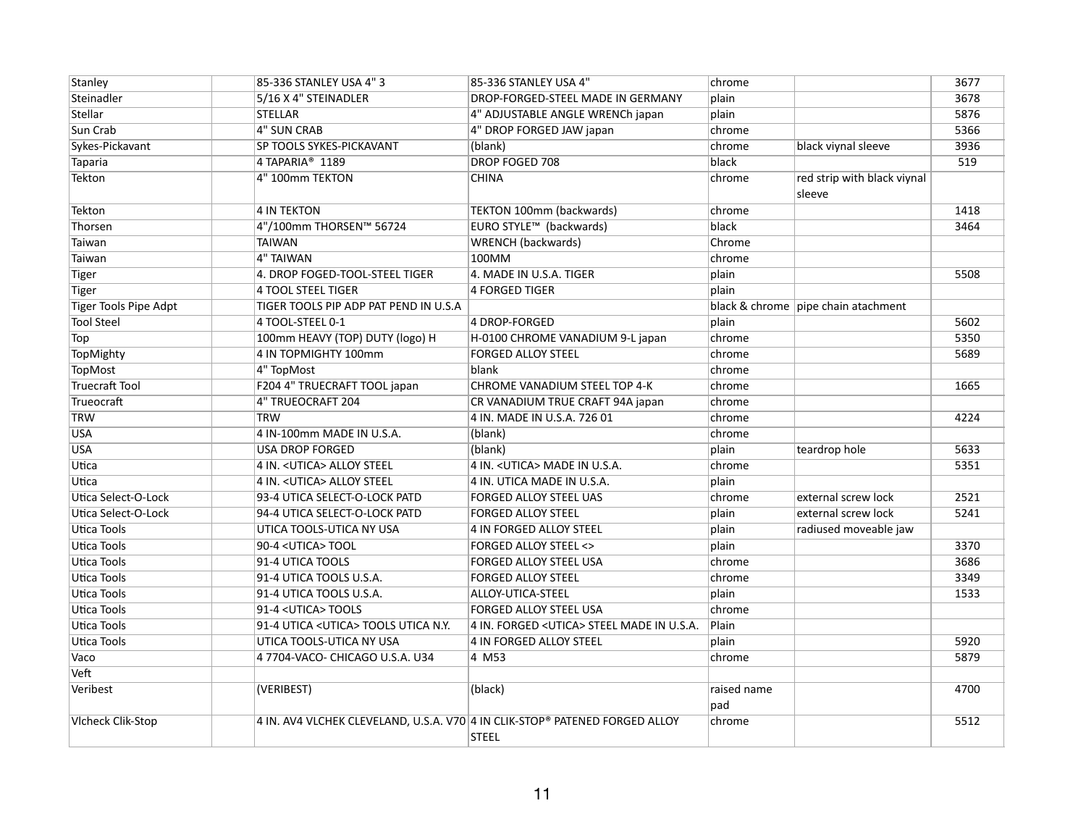| Stanley                  | 85-336 STANLEY USA 4"3                | 85-336 STANLEY USA 4"                                                       | chrome      |                                     | 3677 |
|--------------------------|---------------------------------------|-----------------------------------------------------------------------------|-------------|-------------------------------------|------|
| Steinadler               | 5/16 X 4" STEINADLER                  | DROP-FORGED-STEEL MADE IN GERMANY                                           | plain       |                                     | 3678 |
| Stellar                  | <b>STELLAR</b>                        | 4" ADJUSTABLE ANGLE WRENCh japan                                            | plain       |                                     | 5876 |
| Sun Crab                 | <b>4" SUN CRAB</b>                    | 4" DROP FORGED JAW japan                                                    | chrome      |                                     | 5366 |
| Sykes-Pickavant          | SP TOOLS SYKES-PICKAVANT              | (blank)                                                                     | chrome      | black viynal sleeve                 | 3936 |
| Taparia                  | 4 TAPARIA <sup>®</sup> 1189           | DROP FOGED 708                                                              | black       |                                     | 519  |
| Tekton                   | 4" 100mm TEKTON                       | <b>CHINA</b>                                                                | chrome      | red strip with black viynal         |      |
|                          |                                       |                                                                             |             | sleeve                              |      |
| Tekton                   | <b>4 IN TEKTON</b>                    | TEKTON 100mm (backwards)                                                    | chrome      |                                     | 1418 |
| Thorsen                  | 4"/100mm THORSEN™ 56724               | EURO STYLE™ (backwards)                                                     | black       |                                     | 3464 |
| Taiwan                   | <b>TAIWAN</b>                         | <b>WRENCH</b> (backwards)                                                   | Chrome      |                                     |      |
| Taiwan                   | 4" TAIWAN                             | 100MM                                                                       | chrome      |                                     |      |
| Tiger                    | 4. DROP FOGED-TOOL-STEEL TIGER        | 4. MADE IN U.S.A. TIGER                                                     | plain       |                                     | 5508 |
| Tiger                    | 4 TOOL STEEL TIGER                    | 4 FORGED TIGER                                                              | plain       |                                     |      |
| Tiger Tools Pipe Adpt    | TIGER TOOLS PIP ADP PAT PEND IN U.S.A |                                                                             |             | black & chrome pipe chain atachment |      |
| <b>Tool Steel</b>        | 4 TOOL-STEEL 0-1                      | 4 DROP-FORGED                                                               | plain       |                                     | 5602 |
| Top                      | 100mm HEAVY (TOP) DUTY (logo) H       | H-0100 CHROME VANADIUM 9-L japan                                            | chrome      |                                     | 5350 |
| TopMighty                | 4 IN TOPMIGHTY 100mm                  | <b>FORGED ALLOY STEEL</b>                                                   | chrome      |                                     | 5689 |
| <b>TopMost</b>           | 4" TopMost                            | blank                                                                       | chrome      |                                     |      |
| <b>Truecraft Tool</b>    | F204 4" TRUECRAFT TOOL japan          | CHROME VANADIUM STEEL TOP 4-K                                               | chrome      |                                     | 1665 |
| Trueocraft               | 4" TRUEOCRAFT 204                     | CR VANADIUM TRUE CRAFT 94A japan                                            | chrome      |                                     |      |
| TRW                      | <b>TRW</b>                            | 4 IN. MADE IN U.S.A. 726 01                                                 | chrome      |                                     | 4224 |
| <b>USA</b>               | 4 IN-100mm MADE IN U.S.A.             | (blank)                                                                     | chrome      |                                     |      |
| <b>USA</b>               | <b>USA DROP FORGED</b>                | (blank)                                                                     | plain       | teardrop hole                       | 5633 |
| Utica                    | 4 IN. < UTICA> ALLOY STEEL            | 4 IN. < UTICA> MADE IN U.S.A.                                               | chrome      |                                     | 5351 |
| Utica                    | 4 IN. < UTICA> ALLOY STEEL            | 4 IN. UTICA MADE IN U.S.A.                                                  | plain       |                                     |      |
| Utica Select-O-Lock      | 93-4 UTICA SELECT-O-LOCK PATD         | FORGED ALLOY STEEL UAS                                                      | chrome      | external screw lock                 | 2521 |
| Utica Select-O-Lock      | 94-4 UTICA SELECT-O-LOCK PATD         | <b>FORGED ALLOY STEEL</b>                                                   | plain       | external screw lock                 | 5241 |
| Utica Tools              | UTICA TOOLS-UTICA NY USA              | 4 IN FORGED ALLOY STEEL                                                     | plain       | radiused moveable jaw               |      |
| Utica Tools              | 90-4 <utica>TOOL</utica>              | <b>FORGED ALLOY STEEL &lt;&gt;</b>                                          | plain       |                                     | 3370 |
| Utica Tools              | 91-4 UTICA TOOLS                      | FORGED ALLOY STEEL USA                                                      | chrome      |                                     | 3686 |
| Utica Tools              | 91-4 UTICA TOOLS U.S.A.               | <b>FORGED ALLOY STEEL</b>                                                   | chrome      |                                     | 3349 |
| Utica Tools              | 91-4 UTICA TOOLS U.S.A.               | ALLOY-UTICA-STEEL                                                           | plain       |                                     | 1533 |
| Utica Tools              | 91-4 < UTICA > TOOLS                  | <b>FORGED ALLOY STEEL USA</b>                                               | chrome      |                                     |      |
| Utica Tools              | 91-4 UTICA < UTICA> TOOLS UTICA N.Y.  | 4 IN. FORGED < UTICA> STEEL MADE IN U.S.A.                                  | Plain       |                                     |      |
| Utica Tools              | UTICA TOOLS-UTICA NY USA              | <b>4 IN FORGED ALLOY STEEL</b>                                              | plain       |                                     | 5920 |
| Vaco                     | 4 7704-VACO- CHICAGO U.S.A. U34       | 4 M53                                                                       | chrome      |                                     | 5879 |
| Veft                     |                                       |                                                                             |             |                                     |      |
| Veribest                 | (VERIBEST)                            | (black)                                                                     | raised name |                                     | 4700 |
|                          |                                       |                                                                             | pad         |                                     |      |
| <b>Vlcheck Clik-Stop</b> |                                       | 4 IN. AV4 VLCHEK CLEVELAND, U.S.A. V70 4 IN CLIK-STOP® PATENED FORGED ALLOY | chrome      |                                     | 5512 |
|                          |                                       | <b>STEEL</b>                                                                |             |                                     |      |